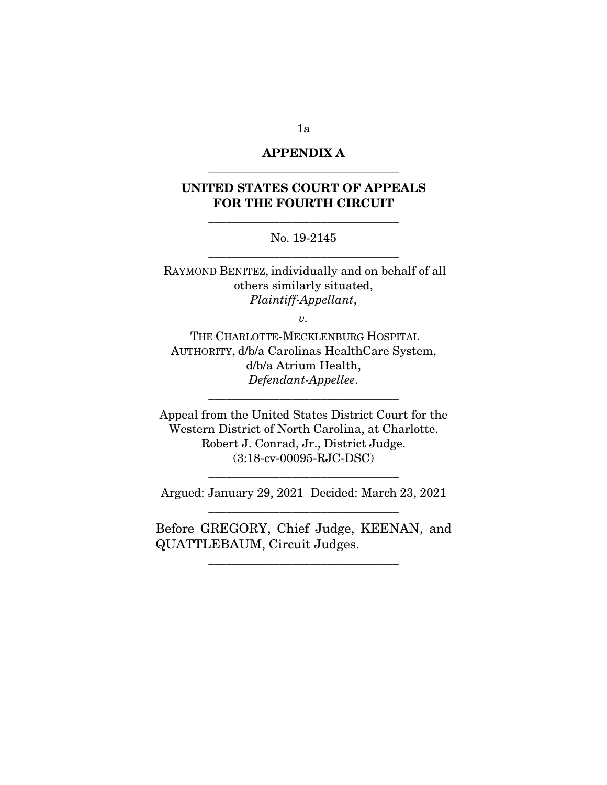# APPENDIX A \_\_\_\_\_\_\_\_\_\_\_\_\_\_\_\_\_\_\_\_\_\_\_\_\_\_\_\_\_\_\_\_

# UNITED STATES COURT OF APPEALS FOR THE FOURTH CIRCUIT

\_\_\_\_\_\_\_\_\_\_\_\_\_\_\_\_\_\_\_\_\_\_\_\_\_\_\_\_\_\_\_\_

### No. 19-2145 \_\_\_\_\_\_\_\_\_\_\_\_\_\_\_\_\_\_\_\_\_\_\_\_\_\_\_\_\_\_\_\_

RAYMOND BENITEZ, individually and on behalf of all others similarly situated, *Plaintiff-Appellant*,

*v.* 

THE CHARLOTTE-MECKLENBURG HOSPITAL AUTHORITY, d/b/a Carolinas HealthCare System, d/b/a Atrium Health, *Defendant-Appellee*.

\_\_\_\_\_\_\_\_\_\_\_\_\_\_\_\_\_\_\_\_\_\_\_\_\_\_\_\_\_\_\_\_

Appeal from the United States District Court for the Western District of North Carolina, at Charlotte. Robert J. Conrad, Jr., District Judge. (3:18-cv-00095-RJC-DSC)

Argued: January 29, 2021 Decided: March 23, 2021 \_\_\_\_\_\_\_\_\_\_\_\_\_\_\_\_\_\_\_\_\_\_\_\_\_\_\_\_\_\_\_\_

\_\_\_\_\_\_\_\_\_\_\_\_\_\_\_\_\_\_\_\_\_\_\_\_\_\_\_\_\_\_\_\_

Before GREGORY, Chief Judge, KEENAN, and QUATTLEBAUM, Circuit Judges.

\_\_\_\_\_\_\_\_\_\_\_\_\_\_\_\_\_\_\_\_\_\_\_\_\_\_\_\_\_\_\_\_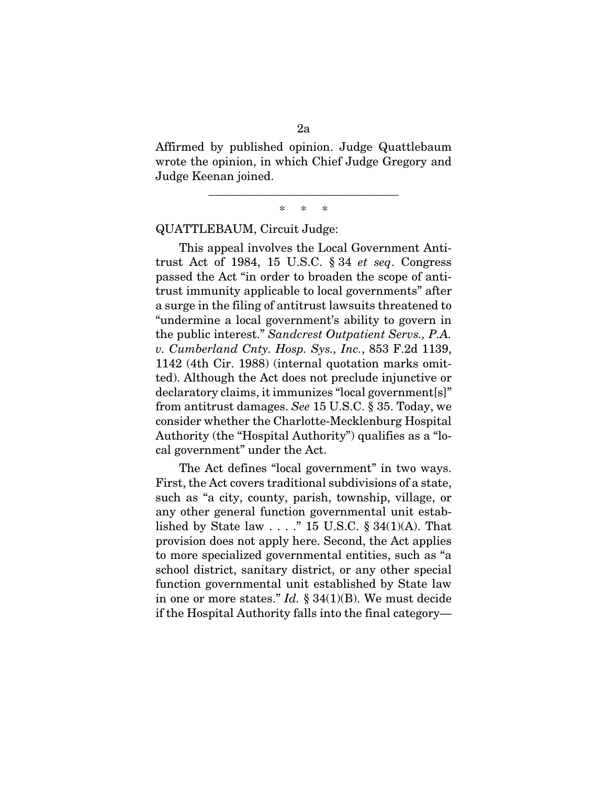Affirmed by published opinion. Judge Quattlebaum wrote the opinion, in which Chief Judge Gregory and Judge Keenan joined.

> \_\_\_\_\_\_\_\_\_\_\_\_\_\_\_\_\_\_\_\_\_\_\_\_\_\_\_\_\_\_\_\_ \* \* \*

QUATTLEBAUM, Circuit Judge:

This appeal involves the Local Government Antitrust Act of 1984, 15 U.S.C. § 34 *et seq*. Congress passed the Act "in order to broaden the scope of antitrust immunity applicable to local governments" after a surge in the filing of antitrust lawsuits threatened to "undermine a local government's ability to govern in the public interest." *Sandcrest Outpatient Servs., P.A. v. Cumberland Cnty. Hosp. Sys., Inc.*, 853 F.2d 1139, 1142 (4th Cir. 1988) (internal quotation marks omitted). Although the Act does not preclude injunctive or declaratory claims, it immunizes "local government[s]" from antitrust damages. *See* 15 U.S.C. § 35. Today, we consider whether the Charlotte-Mecklenburg Hospital Authority (the "Hospital Authority") qualifies as a "local government" under the Act.

The Act defines "local government" in two ways. First, the Act covers traditional subdivisions of a state, such as "a city, county, parish, township, village, or any other general function governmental unit established by State law  $\ldots$  ." 15 U.S.C. § 34(1)(A). That provision does not apply here. Second, the Act applies to more specialized governmental entities, such as "a school district, sanitary district, or any other special function governmental unit established by State law in one or more states." *Id.* § 34(1)(B). We must decide if the Hospital Authority falls into the final category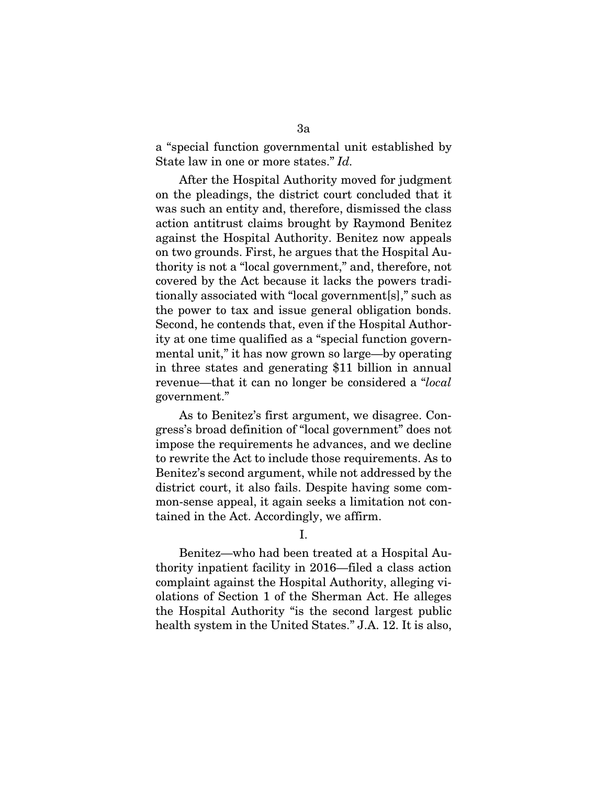a "special function governmental unit established by State law in one or more states." *Id.* 

After the Hospital Authority moved for judgment on the pleadings, the district court concluded that it was such an entity and, therefore, dismissed the class action antitrust claims brought by Raymond Benitez against the Hospital Authority. Benitez now appeals on two grounds. First, he argues that the Hospital Authority is not a "local government," and, therefore, not covered by the Act because it lacks the powers traditionally associated with "local government[s]," such as the power to tax and issue general obligation bonds. Second, he contends that, even if the Hospital Authority at one time qualified as a "special function governmental unit," it has now grown so large—by operating in three states and generating \$11 billion in annual revenue—that it can no longer be considered a "*local*  government."

As to Benitez's first argument, we disagree. Congress's broad definition of "local government" does not impose the requirements he advances, and we decline to rewrite the Act to include those requirements. As to Benitez's second argument, while not addressed by the district court, it also fails. Despite having some common-sense appeal, it again seeks a limitation not contained in the Act. Accordingly, we affirm.

I.

Benitez—who had been treated at a Hospital Authority inpatient facility in 2016—filed a class action complaint against the Hospital Authority, alleging violations of Section 1 of the Sherman Act. He alleges the Hospital Authority "is the second largest public health system in the United States." J.A. 12. It is also,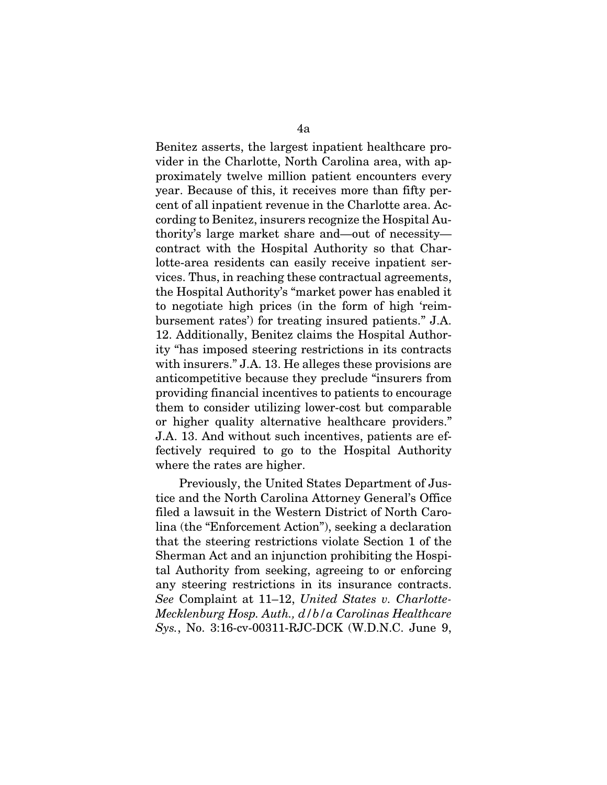Benitez asserts, the largest inpatient healthcare provider in the Charlotte, North Carolina area, with approximately twelve million patient encounters every year. Because of this, it receives more than fifty percent of all inpatient revenue in the Charlotte area. According to Benitez, insurers recognize the Hospital Authority's large market share and—out of necessity contract with the Hospital Authority so that Charlotte-area residents can easily receive inpatient services. Thus, in reaching these contractual agreements, the Hospital Authority's "market power has enabled it to negotiate high prices (in the form of high 'reimbursement rates') for treating insured patients." J.A. 12. Additionally, Benitez claims the Hospital Authority "has imposed steering restrictions in its contracts with insurers." J.A. 13. He alleges these provisions are anticompetitive because they preclude "insurers from providing financial incentives to patients to encourage them to consider utilizing lower-cost but comparable or higher quality alternative healthcare providers." J.A. 13. And without such incentives, patients are effectively required to go to the Hospital Authority where the rates are higher.

Previously, the United States Department of Justice and the North Carolina Attorney General's Office filed a lawsuit in the Western District of North Carolina (the "Enforcement Action"), seeking a declaration that the steering restrictions violate Section 1 of the Sherman Act and an injunction prohibiting the Hospital Authority from seeking, agreeing to or enforcing any steering restrictions in its insurance contracts. *See* Complaint at 11–12, *United States v. Charlotte-Mecklenburg Hosp. Auth., d/b/a Carolinas Healthcare Sys.*, No. 3:16-cv-00311-RJC-DCK (W.D.N.C. June 9,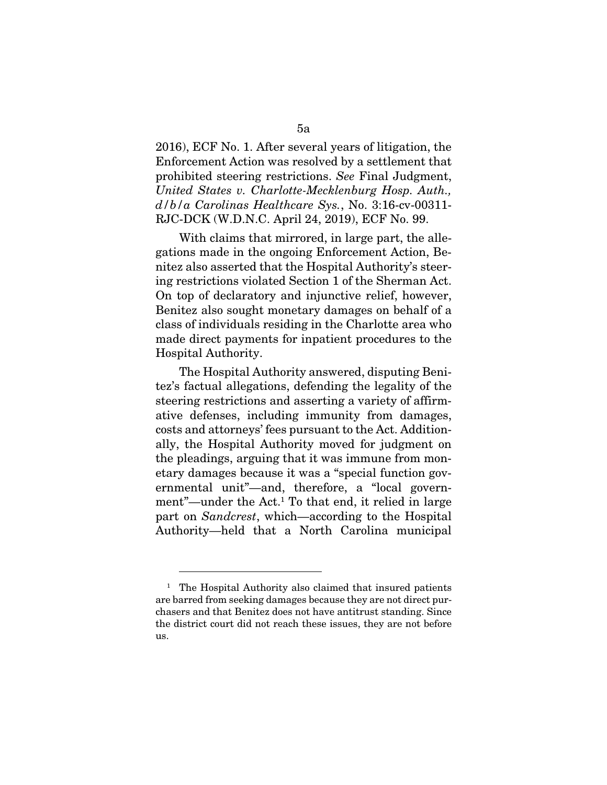2016), ECF No. 1. After several years of litigation, the Enforcement Action was resolved by a settlement that prohibited steering restrictions. *See* Final Judgment, *United States v. Charlotte-Mecklenburg Hosp. Auth., d/b/a Carolinas Healthcare Sys.*, No. 3:16-cv-00311- RJC-DCK (W.D.N.C. April 24, 2019), ECF No. 99.

With claims that mirrored, in large part, the allegations made in the ongoing Enforcement Action, Benitez also asserted that the Hospital Authority's steering restrictions violated Section 1 of the Sherman Act. On top of declaratory and injunctive relief, however, Benitez also sought monetary damages on behalf of a class of individuals residing in the Charlotte area who made direct payments for inpatient procedures to the Hospital Authority.

The Hospital Authority answered, disputing Benitez's factual allegations, defending the legality of the steering restrictions and asserting a variety of affirmative defenses, including immunity from damages, costs and attorneys' fees pursuant to the Act. Additionally, the Hospital Authority moved for judgment on the pleadings, arguing that it was immune from monetary damages because it was a "special function governmental unit"—and, therefore, a "local government"—under the Act.1 To that end, it relied in large part on *Sandcrest*, which—according to the Hospital Authority—held that a North Carolina municipal

<sup>&</sup>lt;sup>1</sup> The Hospital Authority also claimed that insured patients are barred from seeking damages because they are not direct purchasers and that Benitez does not have antitrust standing. Since the district court did not reach these issues, they are not before us.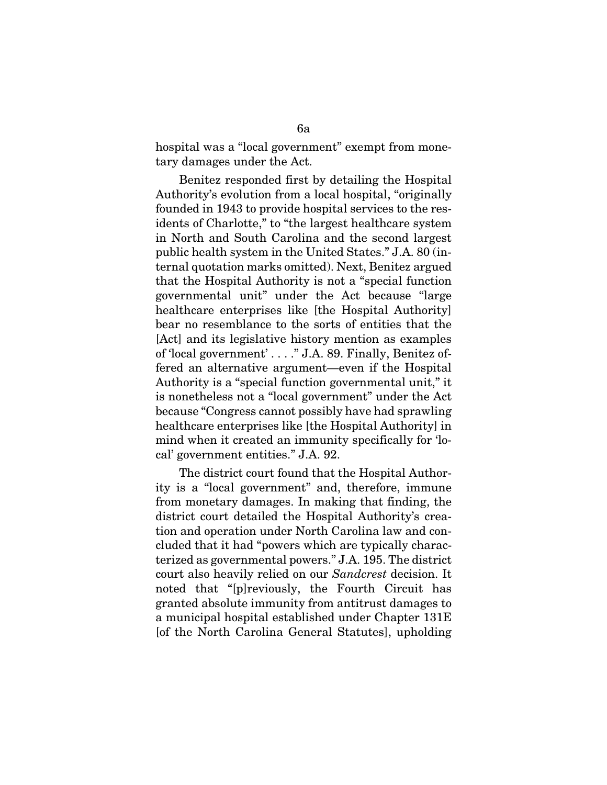hospital was a "local government" exempt from monetary damages under the Act.

Benitez responded first by detailing the Hospital Authority's evolution from a local hospital, "originally founded in 1943 to provide hospital services to the residents of Charlotte," to "the largest healthcare system in North and South Carolina and the second largest public health system in the United States." J.A. 80 (internal quotation marks omitted). Next, Benitez argued that the Hospital Authority is not a "special function governmental unit" under the Act because "large healthcare enterprises like [the Hospital Authority] bear no resemblance to the sorts of entities that the [Act] and its legislative history mention as examples of 'local government' . . . ." J.A. 89. Finally, Benitez offered an alternative argument—even if the Hospital Authority is a "special function governmental unit," it is nonetheless not a "local government" under the Act because "Congress cannot possibly have had sprawling healthcare enterprises like [the Hospital Authority] in mind when it created an immunity specifically for 'local' government entities." J.A. 92.

The district court found that the Hospital Authority is a "local government" and, therefore, immune from monetary damages. In making that finding, the district court detailed the Hospital Authority's creation and operation under North Carolina law and concluded that it had "powers which are typically characterized as governmental powers." J.A. 195. The district court also heavily relied on our *Sandcrest* decision. It noted that "[p]reviously, the Fourth Circuit has granted absolute immunity from antitrust damages to a municipal hospital established under Chapter 131E [of the North Carolina General Statutes], upholding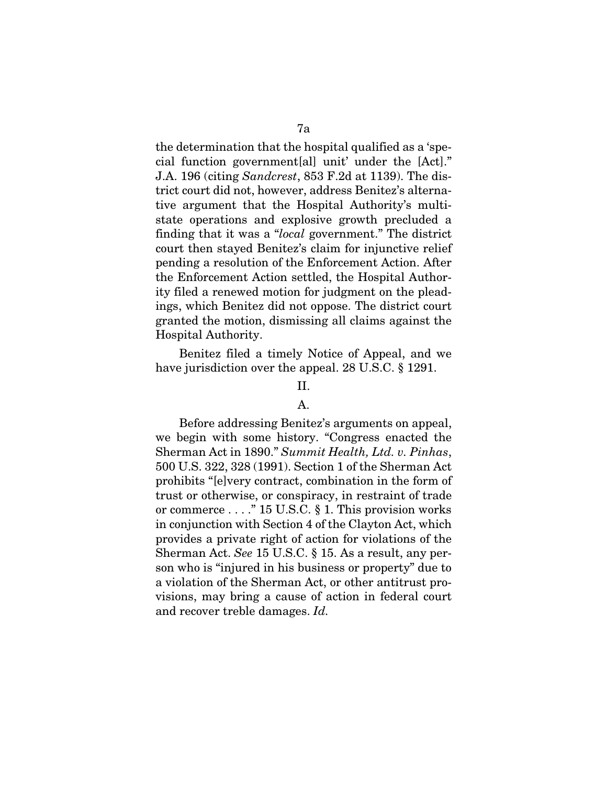the determination that the hospital qualified as a 'special function government[al] unit' under the [Act]." J.A. 196 (citing *Sandcrest*, 853 F.2d at 1139). The district court did not, however, address Benitez's alternative argument that the Hospital Authority's multistate operations and explosive growth precluded a finding that it was a "*local* government." The district court then stayed Benitez's claim for injunctive relief pending a resolution of the Enforcement Action. After the Enforcement Action settled, the Hospital Authority filed a renewed motion for judgment on the pleadings, which Benitez did not oppose. The district court granted the motion, dismissing all claims against the Hospital Authority.

Benitez filed a timely Notice of Appeal, and we have jurisdiction over the appeal. 28 U.S.C. § 1291.

### II.

### A.

Before addressing Benitez's arguments on appeal, we begin with some history. "Congress enacted the Sherman Act in 1890." *Summit Health, Ltd. v. Pinhas*, 500 U.S. 322, 328 (1991). Section 1 of the Sherman Act prohibits "[e]very contract, combination in the form of trust or otherwise, or conspiracy, in restraint of trade or commerce . . . ." 15 U.S.C. § 1. This provision works in conjunction with Section 4 of the Clayton Act, which provides a private right of action for violations of the Sherman Act. *See* 15 U.S.C. § 15. As a result, any person who is "injured in his business or property" due to a violation of the Sherman Act, or other antitrust provisions, may bring a cause of action in federal court and recover treble damages. *Id.*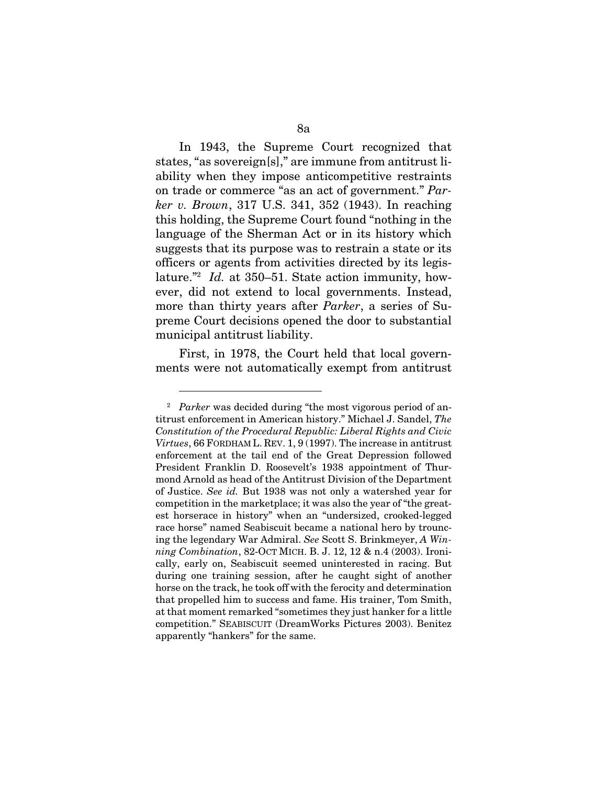In 1943, the Supreme Court recognized that states, "as sovereign[s]," are immune from antitrust liability when they impose anticompetitive restraints on trade or commerce "as an act of government." *Parker v. Brown*, 317 U.S. 341, 352 (1943). In reaching this holding, the Supreme Court found "nothing in the language of the Sherman Act or in its history which suggests that its purpose was to restrain a state or its officers or agents from activities directed by its legislature."2 *Id.* at 350–51. State action immunity, however, did not extend to local governments. Instead, more than thirty years after *Parker*, a series of Supreme Court decisions opened the door to substantial municipal antitrust liability.

First, in 1978, the Court held that local governments were not automatically exempt from antitrust

<sup>2</sup> *Parker* was decided during "the most vigorous period of antitrust enforcement in American history." Michael J. Sandel, *The Constitution of the Procedural Republic: Liberal Rights and Civic Virtues*, 66 FORDHAM L. REV. 1, 9 (1997). The increase in antitrust enforcement at the tail end of the Great Depression followed President Franklin D. Roosevelt's 1938 appointment of Thurmond Arnold as head of the Antitrust Division of the Department of Justice. *See id.* But 1938 was not only a watershed year for competition in the marketplace; it was also the year of "the greatest horserace in history" when an "undersized, crooked-legged race horse" named Seabiscuit became a national hero by trouncing the legendary War Admiral. *See* Scott S. Brinkmeyer, *A Winning Combination*, 82-OCT MICH. B. J. 12, 12 & n.4 (2003). Ironically, early on, Seabiscuit seemed uninterested in racing. But during one training session, after he caught sight of another horse on the track, he took off with the ferocity and determination that propelled him to success and fame. His trainer, Tom Smith, at that moment remarked "sometimes they just hanker for a little competition." SEABISCUIT (DreamWorks Pictures 2003). Benitez apparently "hankers" for the same.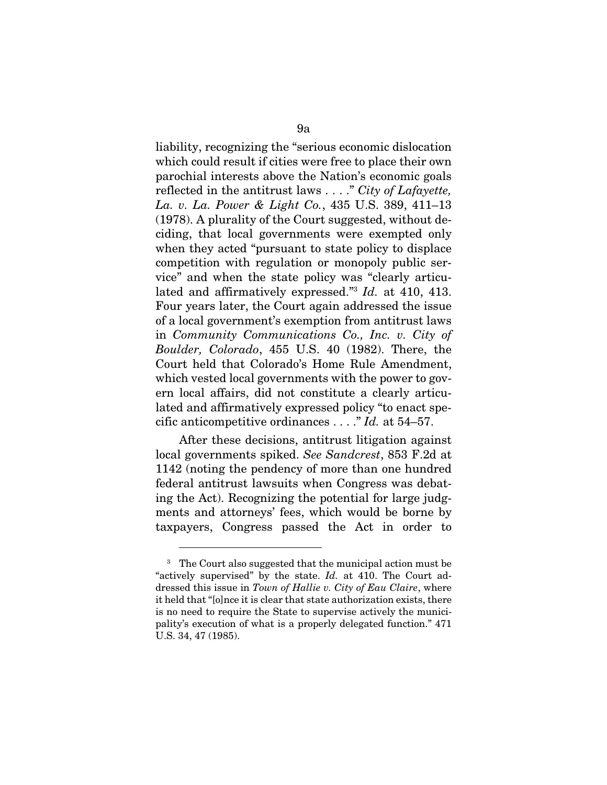liability, recognizing the "serious economic dislocation which could result if cities were free to place their own parochial interests above the Nation's economic goals reflected in the antitrust laws . . . ." *City of Lafayette, La. v. La. Power & Light Co.*, 435 U.S. 389, 411–13 (1978). A plurality of the Court suggested, without deciding, that local governments were exempted only when they acted "pursuant to state policy to displace competition with regulation or monopoly public service" and when the state policy was "clearly articulated and affirmatively expressed."3 *Id.* at 410, 413. Four years later, the Court again addressed the issue of a local government's exemption from antitrust laws in *Community Communications Co., Inc. v. City of Boulder, Colorado*, 455 U.S. 40 (1982). There, the Court held that Colorado's Home Rule Amendment, which vested local governments with the power to govern local affairs, did not constitute a clearly articulated and affirmatively expressed policy "to enact specific anticompetitive ordinances . . . ." *Id.* at 54–57.

After these decisions, antitrust litigation against local governments spiked. *See Sandcrest*, 853 F.2d at 1142 (noting the pendency of more than one hundred federal antitrust lawsuits when Congress was debating the Act). Recognizing the potential for large judgments and attorneys' fees, which would be borne by taxpayers, Congress passed the Act in order to

<sup>3</sup> The Court also suggested that the municipal action must be "actively supervised" by the state. *Id.* at 410. The Court addressed this issue in *Town of Hallie v. City of Eau Claire*, where it held that "[o]nce it is clear that state authorization exists, there is no need to require the State to supervise actively the municipality's execution of what is a properly delegated function." 471 U.S. 34, 47 (1985).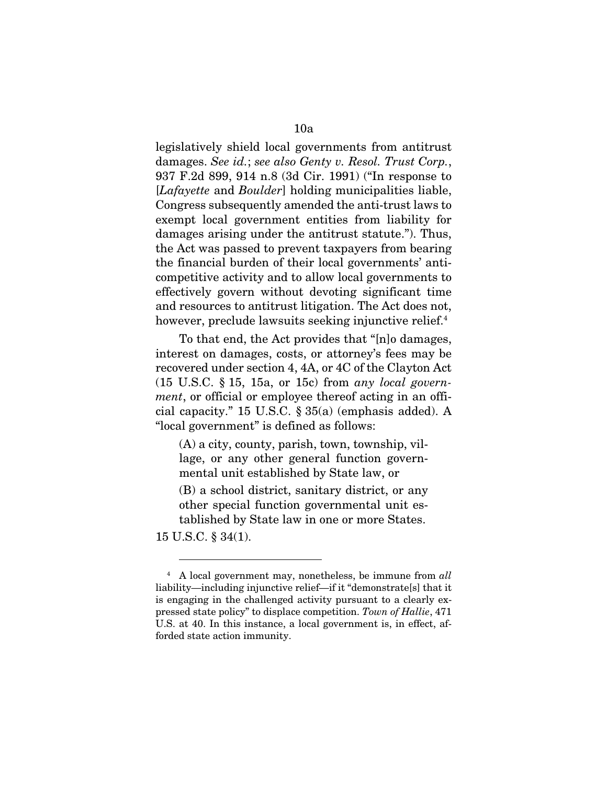legislatively shield local governments from antitrust damages. *See id.*; *see also Genty v. Resol. Trust Corp.*, 937 F.2d 899, 914 n.8 (3d Cir. 1991) ("In response to [*Lafayette* and *Boulder*] holding municipalities liable, Congress subsequently amended the anti-trust laws to exempt local government entities from liability for damages arising under the antitrust statute."). Thus, the Act was passed to prevent taxpayers from bearing the financial burden of their local governments' anticompetitive activity and to allow local governments to effectively govern without devoting significant time and resources to antitrust litigation. The Act does not, however, preclude lawsuits seeking injunctive relief.<sup>4</sup>

To that end, the Act provides that "[n]o damages, interest on damages, costs, or attorney's fees may be recovered under section 4, 4A, or 4C of the Clayton Act (15 U.S.C. § 15, 15a, or 15c) from *any local government*, or official or employee thereof acting in an official capacity." 15 U.S.C. § 35(a) (emphasis added). A "local government" is defined as follows:

(A) a city, county, parish, town, township, village, or any other general function governmental unit established by State law, or

(B) a school district, sanitary district, or any other special function governmental unit established by State law in one or more States.

15 U.S.C. § 34(1).

<sup>4</sup> A local government may, nonetheless, be immune from *all*  liability—including injunctive relief—if it "demonstrate[s] that it is engaging in the challenged activity pursuant to a clearly expressed state policy" to displace competition. *Town of Hallie*, 471 U.S. at 40. In this instance, a local government is, in effect, afforded state action immunity.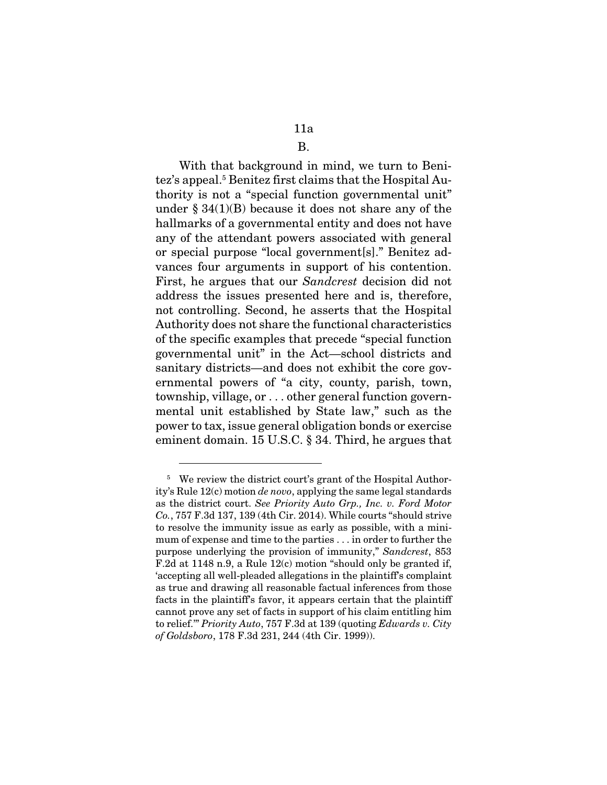### 11a

### B.

With that background in mind, we turn to Benitez's appeal.5 Benitez first claims that the Hospital Authority is not a "special function governmental unit" under  $\S 34(1)(B)$  because it does not share any of the hallmarks of a governmental entity and does not have any of the attendant powers associated with general or special purpose "local government[s]." Benitez advances four arguments in support of his contention. First, he argues that our *Sandcrest* decision did not address the issues presented here and is, therefore, not controlling. Second, he asserts that the Hospital Authority does not share the functional characteristics of the specific examples that precede "special function governmental unit" in the Act—school districts and sanitary districts—and does not exhibit the core governmental powers of "a city, county, parish, town, township, village, or . . . other general function governmental unit established by State law," such as the power to tax, issue general obligation bonds or exercise eminent domain. 15 U.S.C. § 34. Third, he argues that

<sup>5</sup> We review the district court's grant of the Hospital Authority's Rule 12(c) motion *de novo*, applying the same legal standards as the district court. *See Priority Auto Grp., Inc. v. Ford Motor Co.*, 757 F.3d 137, 139 (4th Cir. 2014). While courts "should strive to resolve the immunity issue as early as possible, with a minimum of expense and time to the parties . . . in order to further the purpose underlying the provision of immunity," *Sandcrest*, 853 F.2d at 1148 n.9, a Rule 12(c) motion "should only be granted if, 'accepting all well-pleaded allegations in the plaintiff's complaint as true and drawing all reasonable factual inferences from those facts in the plaintiff's favor, it appears certain that the plaintiff cannot prove any set of facts in support of his claim entitling him to relief.'" *Priority Auto*, 757 F.3d at 139 (quoting *Edwards v. City of Goldsboro*, 178 F.3d 231, 244 (4th Cir. 1999)).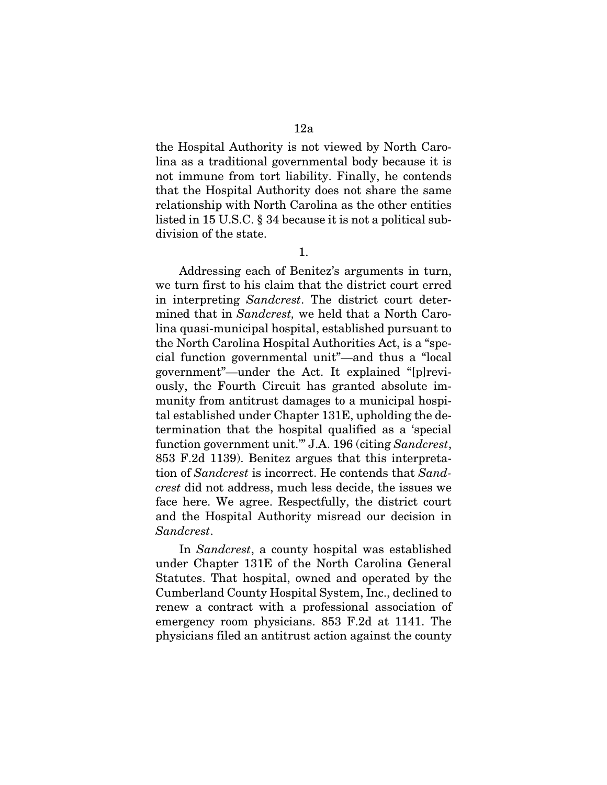the Hospital Authority is not viewed by North Carolina as a traditional governmental body because it is not immune from tort liability. Finally, he contends that the Hospital Authority does not share the same relationship with North Carolina as the other entities listed in 15 U.S.C. § 34 because it is not a political subdivision of the state.

1.

Addressing each of Benitez's arguments in turn, we turn first to his claim that the district court erred in interpreting *Sandcrest*. The district court determined that in *Sandcrest,* we held that a North Carolina quasi-municipal hospital, established pursuant to the North Carolina Hospital Authorities Act, is a "special function governmental unit"—and thus a "local government"—under the Act. It explained "[p]reviously, the Fourth Circuit has granted absolute immunity from antitrust damages to a municipal hospital established under Chapter 131E, upholding the determination that the hospital qualified as a 'special function government unit.'" J.A. 196 (citing *Sandcrest*, 853 F.2d 1139). Benitez argues that this interpretation of *Sandcrest* is incorrect. He contends that *Sandcrest* did not address, much less decide, the issues we face here. We agree. Respectfully, the district court and the Hospital Authority misread our decision in *Sandcrest*.

In *Sandcrest*, a county hospital was established under Chapter 131E of the North Carolina General Statutes. That hospital, owned and operated by the Cumberland County Hospital System, Inc., declined to renew a contract with a professional association of emergency room physicians. 853 F.2d at 1141. The physicians filed an antitrust action against the county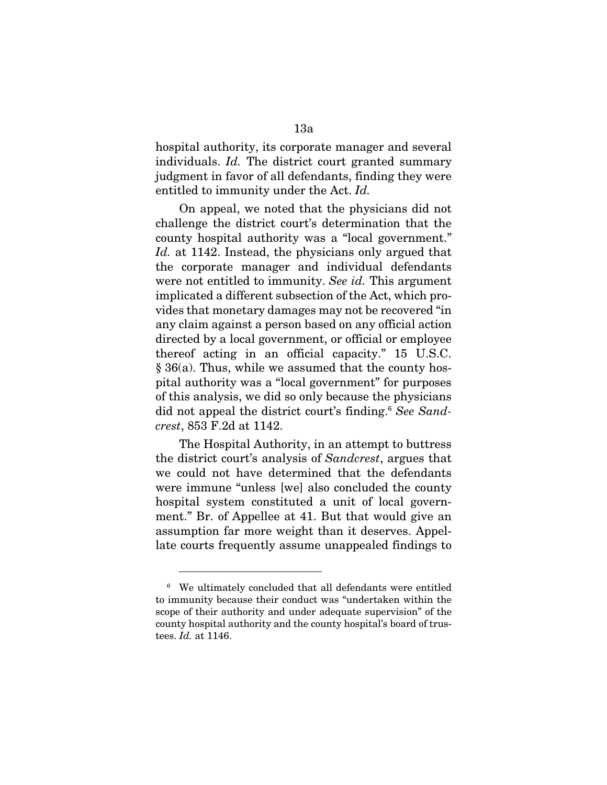hospital authority, its corporate manager and several individuals. *Id.* The district court granted summary judgment in favor of all defendants, finding they were entitled to immunity under the Act. *Id.* 

On appeal, we noted that the physicians did not challenge the district court's determination that the county hospital authority was a "local government." *Id.* at 1142. Instead, the physicians only argued that the corporate manager and individual defendants were not entitled to immunity. *See id.* This argument implicated a different subsection of the Act, which provides that monetary damages may not be recovered "in any claim against a person based on any official action directed by a local government, or official or employee thereof acting in an official capacity." 15 U.S.C. § 36(a). Thus, while we assumed that the county hospital authority was a "local government" for purposes of this analysis, we did so only because the physicians did not appeal the district court's finding.<sup>6</sup> See Sand*crest*, 853 F.2d at 1142.

The Hospital Authority, in an attempt to buttress the district court's analysis of *Sandcrest*, argues that we could not have determined that the defendants were immune "unless [we] also concluded the county hospital system constituted a unit of local government." Br. of Appellee at 41. But that would give an assumption far more weight than it deserves. Appellate courts frequently assume unappealed findings to

<sup>6</sup> We ultimately concluded that all defendants were entitled to immunity because their conduct was "undertaken within the scope of their authority and under adequate supervision" of the county hospital authority and the county hospital's board of trustees. *Id.* at 1146.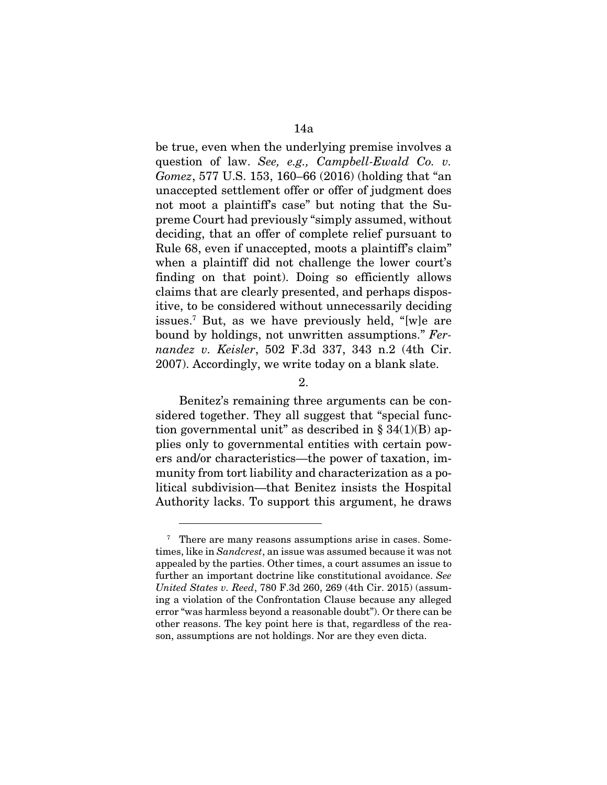be true, even when the underlying premise involves a question of law. *See, e.g., Campbell-Ewald Co. v. Gomez*, 577 U.S. 153, 160–66 (2016) (holding that "an unaccepted settlement offer or offer of judgment does not moot a plaintiff's case" but noting that the Supreme Court had previously "simply assumed, without deciding, that an offer of complete relief pursuant to Rule 68, even if unaccepted, moots a plaintiff's claim" when a plaintiff did not challenge the lower court's finding on that point). Doing so efficiently allows claims that are clearly presented, and perhaps dispositive, to be considered without unnecessarily deciding issues.7 But, as we have previously held, "[w]e are bound by holdings, not unwritten assumptions." *Fernandez v. Keisler*, 502 F.3d 337, 343 n.2 (4th Cir. 2007). Accordingly, we write today on a blank slate.

2.

Benitez's remaining three arguments can be considered together. They all suggest that "special function governmental unit" as described in  $\S 34(1)(B)$  applies only to governmental entities with certain powers and/or characteristics—the power of taxation, immunity from tort liability and characterization as a political subdivision—that Benitez insists the Hospital Authority lacks. To support this argument, he draws

<sup>&</sup>lt;sup>7</sup> There are many reasons assumptions arise in cases. Sometimes, like in *Sandcrest*, an issue was assumed because it was not appealed by the parties. Other times, a court assumes an issue to further an important doctrine like constitutional avoidance. *See United States v. Reed*, 780 F.3d 260, 269 (4th Cir. 2015) (assuming a violation of the Confrontation Clause because any alleged error "was harmless beyond a reasonable doubt"). Or there can be other reasons. The key point here is that, regardless of the reason, assumptions are not holdings. Nor are they even dicta.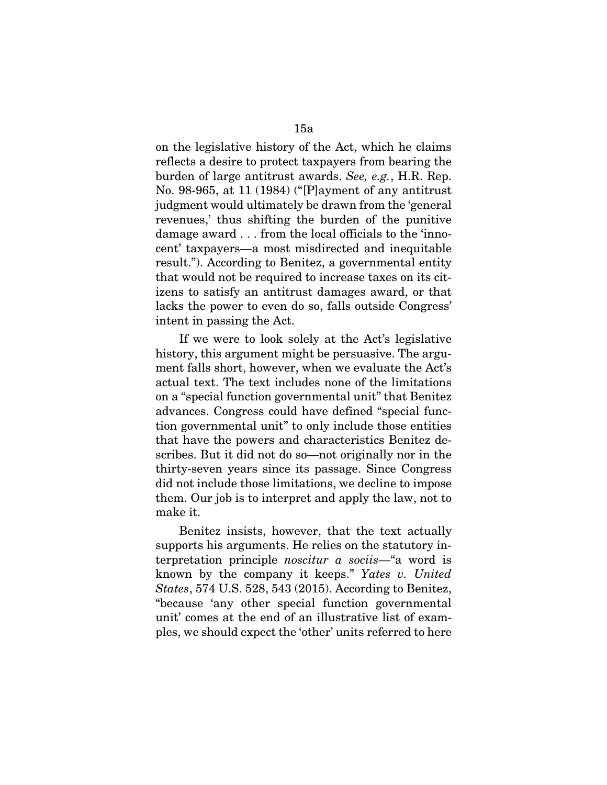on the legislative history of the Act, which he claims reflects a desire to protect taxpayers from bearing the burden of large antitrust awards. *See, e.g.*, H.R. Rep. No. 98-965, at 11 (1984) ("[P]ayment of any antitrust judgment would ultimately be drawn from the 'general revenues,' thus shifting the burden of the punitive damage award . . . from the local officials to the 'innocent' taxpayers—a most misdirected and inequitable result."). According to Benitez, a governmental entity that would not be required to increase taxes on its citizens to satisfy an antitrust damages award, or that lacks the power to even do so, falls outside Congress' intent in passing the Act.

If we were to look solely at the Act's legislative history, this argument might be persuasive. The argument falls short, however, when we evaluate the Act's actual text. The text includes none of the limitations on a "special function governmental unit" that Benitez advances. Congress could have defined "special function governmental unit" to only include those entities that have the powers and characteristics Benitez describes. But it did not do so—not originally nor in the thirty-seven years since its passage. Since Congress did not include those limitations, we decline to impose them. Our job is to interpret and apply the law, not to make it.

Benitez insists, however, that the text actually supports his arguments. He relies on the statutory interpretation principle *noscitur a sociis*—"a word is known by the company it keeps." *Yates v. United States*, 574 U.S. 528, 543 (2015). According to Benitez, "because 'any other special function governmental unit' comes at the end of an illustrative list of examples, we should expect the 'other' units referred to here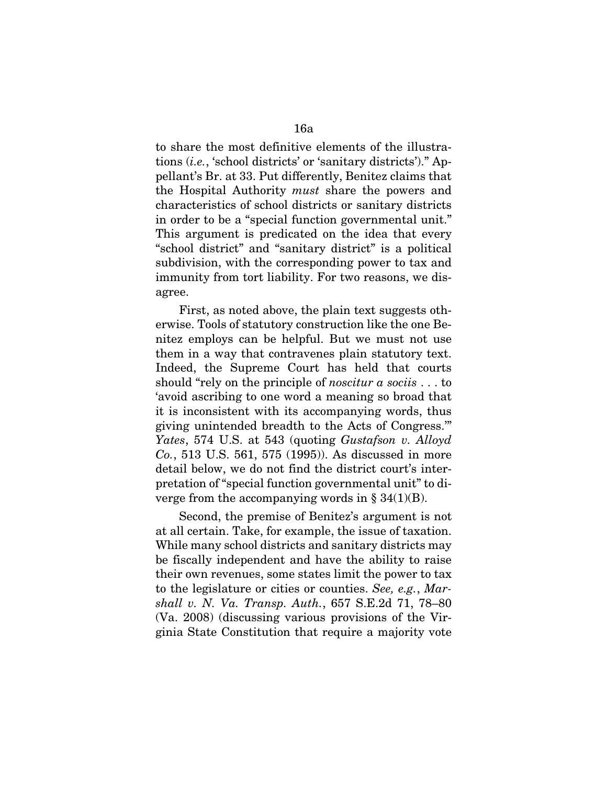to share the most definitive elements of the illustrations (*i.e.*, 'school districts' or 'sanitary districts')." Appellant's Br. at 33. Put differently, Benitez claims that the Hospital Authority *must* share the powers and characteristics of school districts or sanitary districts in order to be a "special function governmental unit." This argument is predicated on the idea that every "school district" and "sanitary district" is a political subdivision, with the corresponding power to tax and immunity from tort liability. For two reasons, we disagree.

First, as noted above, the plain text suggests otherwise. Tools of statutory construction like the one Benitez employs can be helpful. But we must not use them in a way that contravenes plain statutory text. Indeed, the Supreme Court has held that courts should "rely on the principle of *noscitur a sociis* . . . to 'avoid ascribing to one word a meaning so broad that it is inconsistent with its accompanying words, thus giving unintended breadth to the Acts of Congress.'" *Yates*, 574 U.S. at 543 (quoting *Gustafson v. Alloyd Co.*, 513 U.S. 561, 575 (1995)). As discussed in more detail below, we do not find the district court's interpretation of "special function governmental unit" to diverge from the accompanying words in  $\S 34(1)(B)$ .

Second, the premise of Benitez's argument is not at all certain. Take, for example, the issue of taxation. While many school districts and sanitary districts may be fiscally independent and have the ability to raise their own revenues, some states limit the power to tax to the legislature or cities or counties. *See, e.g.*, *Marshall v. N. Va. Transp. Auth.*, 657 S.E.2d 71, 78–80 (Va. 2008) (discussing various provisions of the Virginia State Constitution that require a majority vote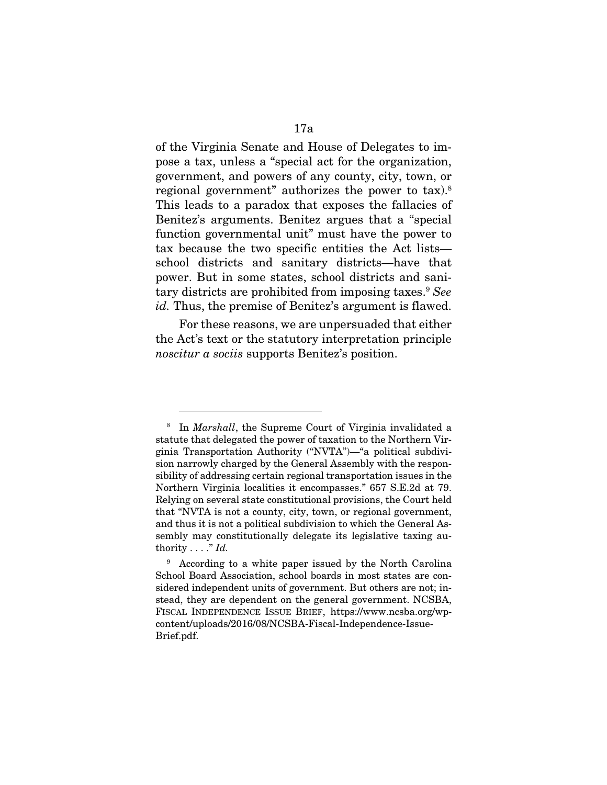of the Virginia Senate and House of Delegates to impose a tax, unless a "special act for the organization, government, and powers of any county, city, town, or regional government" authorizes the power to tax).<sup>8</sup> This leads to a paradox that exposes the fallacies of Benitez's arguments. Benitez argues that a "special function governmental unit" must have the power to tax because the two specific entities the Act lists school districts and sanitary districts—have that power. But in some states, school districts and sanitary districts are prohibited from imposing taxes.9 *See id.* Thus, the premise of Benitez's argument is flawed.

For these reasons, we are unpersuaded that either the Act's text or the statutory interpretation principle *noscitur a sociis* supports Benitez's position.

<sup>8</sup> In *Marshall*, the Supreme Court of Virginia invalidated a statute that delegated the power of taxation to the Northern Virginia Transportation Authority ("NVTA")—"a political subdivision narrowly charged by the General Assembly with the responsibility of addressing certain regional transportation issues in the Northern Virginia localities it encompasses." 657 S.E.2d at 79. Relying on several state constitutional provisions, the Court held that "NVTA is not a county, city, town, or regional government, and thus it is not a political subdivision to which the General Assembly may constitutionally delegate its legislative taxing authority . . . ." *Id.* 

<sup>9</sup> According to a white paper issued by the North Carolina School Board Association, school boards in most states are considered independent units of government. But others are not; instead, they are dependent on the general government. NCSBA, FISCAL INDEPENDENCE ISSUE BRIEF, https://www.ncsba.org/wpcontent/uploads/2016/08/NCSBA-Fiscal-Independence-Issue-Brief.pdf.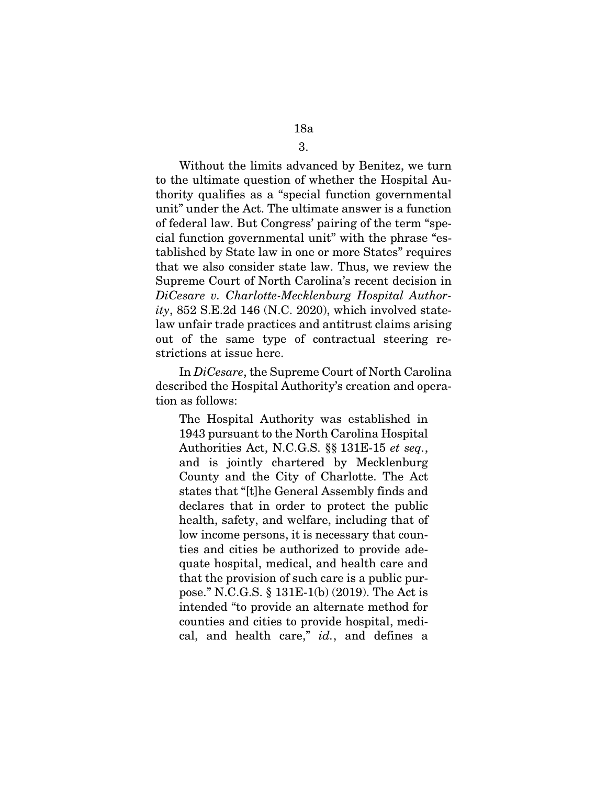### 3.

Without the limits advanced by Benitez, we turn to the ultimate question of whether the Hospital Authority qualifies as a "special function governmental unit" under the Act. The ultimate answer is a function of federal law. But Congress' pairing of the term "special function governmental unit" with the phrase "established by State law in one or more States" requires that we also consider state law. Thus, we review the Supreme Court of North Carolina's recent decision in *DiCesare v. Charlotte-Mecklenburg Hospital Authority*, 852 S.E.2d 146 (N.C. 2020), which involved statelaw unfair trade practices and antitrust claims arising out of the same type of contractual steering restrictions at issue here.

In *DiCesare*, the Supreme Court of North Carolina described the Hospital Authority's creation and operation as follows:

The Hospital Authority was established in 1943 pursuant to the North Carolina Hospital Authorities Act, N.C.G.S. §§ 131E-15 *et seq.*, and is jointly chartered by Mecklenburg County and the City of Charlotte. The Act states that "[t]he General Assembly finds and declares that in order to protect the public health, safety, and welfare, including that of low income persons, it is necessary that counties and cities be authorized to provide adequate hospital, medical, and health care and that the provision of such care is a public purpose." N.C.G.S. § 131E-1(b) (2019). The Act is intended "to provide an alternate method for counties and cities to provide hospital, medical, and health care," *id.*, and defines a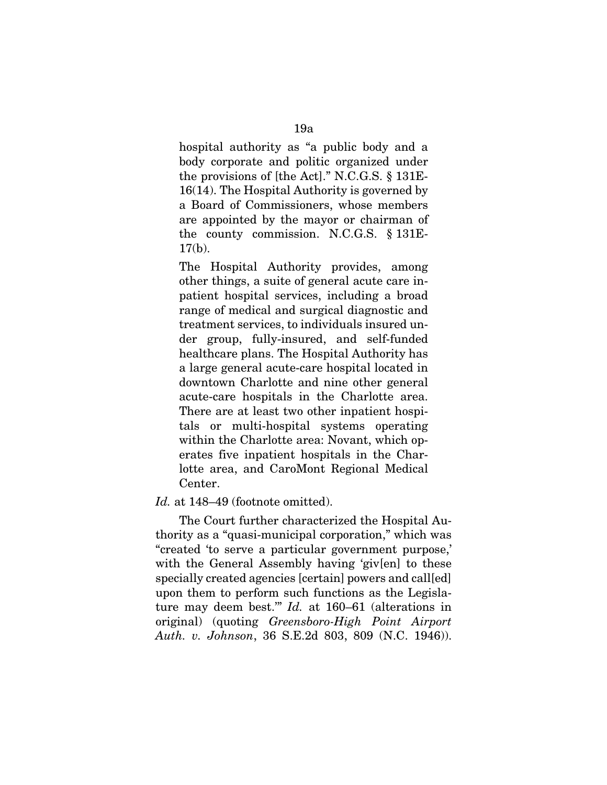hospital authority as "a public body and a body corporate and politic organized under the provisions of [the Act]." N.C.G.S. § 131E-16(14). The Hospital Authority is governed by a Board of Commissioners, whose members are appointed by the mayor or chairman of the county commission. N.C.G.S. § 131E- $17(b)$ .

The Hospital Authority provides, among other things, a suite of general acute care inpatient hospital services, including a broad range of medical and surgical diagnostic and treatment services, to individuals insured under group, fully-insured, and self-funded healthcare plans. The Hospital Authority has a large general acute-care hospital located in downtown Charlotte and nine other general acute-care hospitals in the Charlotte area. There are at least two other inpatient hospitals or multi-hospital systems operating within the Charlotte area: Novant, which operates five inpatient hospitals in the Charlotte area, and CaroMont Regional Medical Center.

Id. at 148–49 (footnote omitted).

The Court further characterized the Hospital Authority as a "quasi-municipal corporation," which was "created 'to serve a particular government purpose,' with the General Assembly having 'giv[en] to these specially created agencies [certain] powers and call[ed] upon them to perform such functions as the Legislature may deem best.'" *Id.* at 160–61 (alterations in original) (quoting *Greensboro-High Point Airport Auth. v. Johnson*, 36 S.E.2d 803, 809 (N.C. 1946)).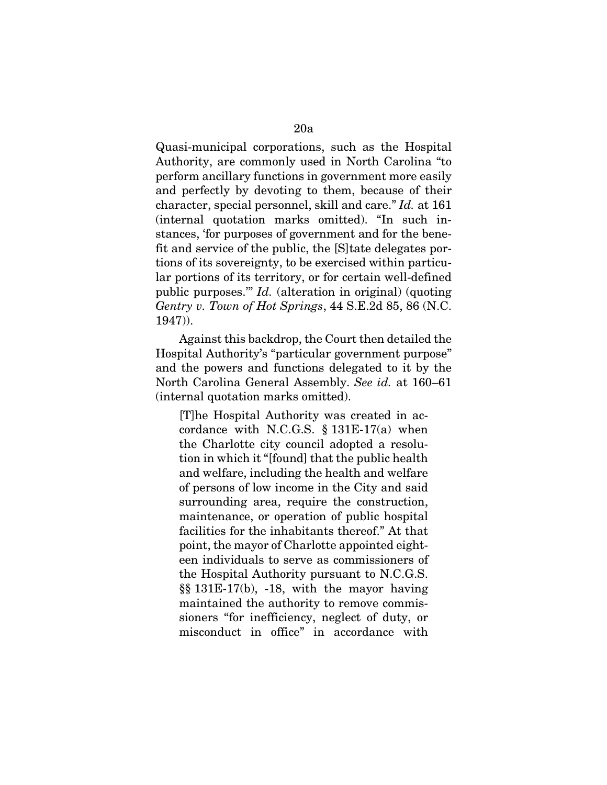Quasi-municipal corporations, such as the Hospital Authority, are commonly used in North Carolina "to perform ancillary functions in government more easily and perfectly by devoting to them, because of their character, special personnel, skill and care." *Id.* at 161 (internal quotation marks omitted). "In such instances, 'for purposes of government and for the benefit and service of the public, the [S]tate delegates portions of its sovereignty, to be exercised within particular portions of its territory, or for certain well-defined public purposes.'" *Id.* (alteration in original) (quoting *Gentry v. Town of Hot Springs*, 44 S.E.2d 85, 86 (N.C. 1947)).

Against this backdrop, the Court then detailed the Hospital Authority's "particular government purpose" and the powers and functions delegated to it by the North Carolina General Assembly. *See id.* at 160–61 (internal quotation marks omitted).

[T]he Hospital Authority was created in accordance with N.C.G.S.  $\S 131E-17(a)$  when the Charlotte city council adopted a resolution in which it "[found] that the public health and welfare, including the health and welfare of persons of low income in the City and said surrounding area, require the construction, maintenance, or operation of public hospital facilities for the inhabitants thereof." At that point, the mayor of Charlotte appointed eighteen individuals to serve as commissioners of the Hospital Authority pursuant to N.C.G.S. §§ 131E-17(b), -18, with the mayor having maintained the authority to remove commissioners "for inefficiency, neglect of duty, or misconduct in office" in accordance with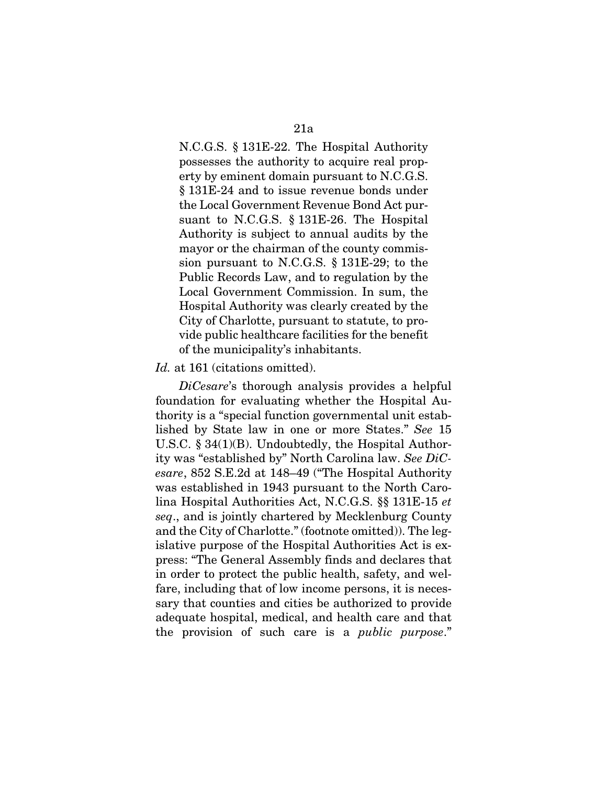N.C.G.S. § 131E-22. The Hospital Authority possesses the authority to acquire real property by eminent domain pursuant to N.C.G.S. § 131E-24 and to issue revenue bonds under the Local Government Revenue Bond Act pursuant to N.C.G.S. § 131E-26. The Hospital Authority is subject to annual audits by the mayor or the chairman of the county commission pursuant to N.C.G.S. § 131E-29; to the Public Records Law, and to regulation by the Local Government Commission. In sum, the Hospital Authority was clearly created by the City of Charlotte, pursuant to statute, to provide public healthcare facilities for the benefit of the municipality's inhabitants.

#### *Id.* at 161 (citations omitted).

*DiCesare*'s thorough analysis provides a helpful foundation for evaluating whether the Hospital Authority is a "special function governmental unit established by State law in one or more States." *See* 15 U.S.C. § 34(1)(B). Undoubtedly, the Hospital Authority was "established by" North Carolina law. *See DiCesare*, 852 S.E.2d at 148–49 ("The Hospital Authority was established in 1943 pursuant to the North Carolina Hospital Authorities Act, N.C.G.S. §§ 131E-15 *et seq*., and is jointly chartered by Mecklenburg County and the City of Charlotte." (footnote omitted)). The legislative purpose of the Hospital Authorities Act is express: "The General Assembly finds and declares that in order to protect the public health, safety, and welfare, including that of low income persons, it is necessary that counties and cities be authorized to provide adequate hospital, medical, and health care and that the provision of such care is a *public purpose*."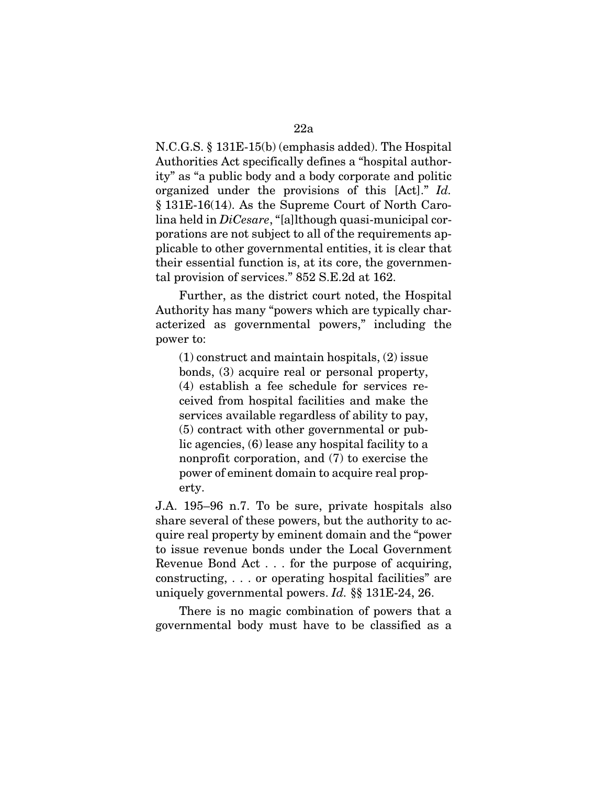N.C.G.S. § 131E-15(b) (emphasis added). The Hospital Authorities Act specifically defines a "hospital authority" as "a public body and a body corporate and politic organized under the provisions of this [Act]." *Id.*  § 131E-16(14). As the Supreme Court of North Carolina held in *DiCesare*, "[a]lthough quasi-municipal corporations are not subject to all of the requirements ap-

plicable to other governmental entities, it is clear that their essential function is, at its core, the governmental provision of services." 852 S.E.2d at 162.

Further, as the district court noted, the Hospital Authority has many "powers which are typically characterized as governmental powers," including the power to:

(1) construct and maintain hospitals, (2) issue bonds, (3) acquire real or personal property, (4) establish a fee schedule for services received from hospital facilities and make the services available regardless of ability to pay, (5) contract with other governmental or public agencies, (6) lease any hospital facility to a nonprofit corporation, and (7) to exercise the power of eminent domain to acquire real property.

J.A. 195–96 n.7. To be sure, private hospitals also share several of these powers, but the authority to acquire real property by eminent domain and the "power to issue revenue bonds under the Local Government Revenue Bond Act . . . for the purpose of acquiring, constructing, . . . or operating hospital facilities" are uniquely governmental powers. *Id.* §§ 131E-24, 26.

There is no magic combination of powers that a governmental body must have to be classified as a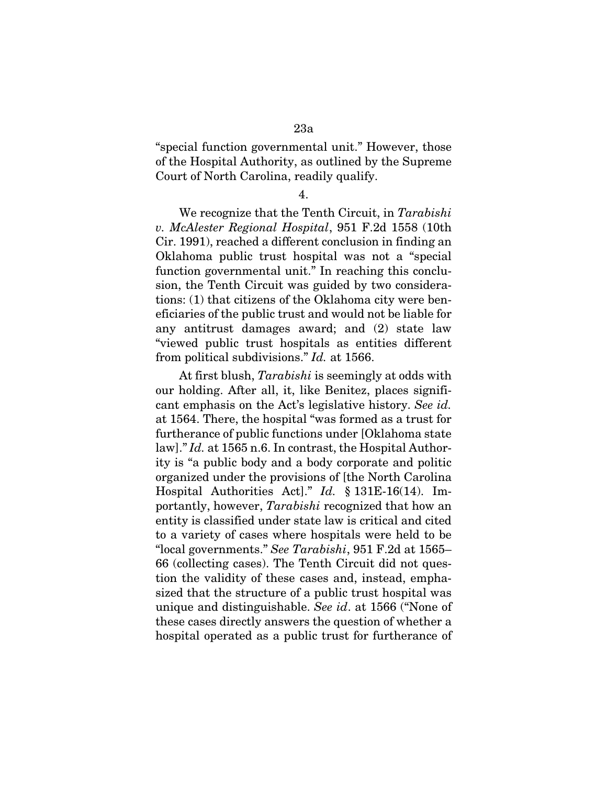"special function governmental unit." However, those of the Hospital Authority, as outlined by the Supreme Court of North Carolina, readily qualify.

4.

We recognize that the Tenth Circuit, in *Tarabishi v. McAlester Regional Hospital*, 951 F.2d 1558 (10th Cir. 1991), reached a different conclusion in finding an Oklahoma public trust hospital was not a "special function governmental unit." In reaching this conclusion, the Tenth Circuit was guided by two considerations: (1) that citizens of the Oklahoma city were beneficiaries of the public trust and would not be liable for any antitrust damages award; and (2) state law "viewed public trust hospitals as entities different from political subdivisions." *Id.* at 1566.

At first blush, *Tarabishi* is seemingly at odds with our holding. After all, it, like Benitez, places significant emphasis on the Act's legislative history. *See id.*  at 1564. There, the hospital "was formed as a trust for furtherance of public functions under [Oklahoma state law]." *Id.* at 1565 n.6. In contrast, the Hospital Authority is "a public body and a body corporate and politic organized under the provisions of [the North Carolina Hospital Authorities Act]." *Id.* § 131E-16(14). Importantly, however, *Tarabishi* recognized that how an entity is classified under state law is critical and cited to a variety of cases where hospitals were held to be "local governments." *See Tarabishi*, 951 F.2d at 1565– 66 (collecting cases). The Tenth Circuit did not question the validity of these cases and, instead, emphasized that the structure of a public trust hospital was unique and distinguishable. *See id*. at 1566 ("None of these cases directly answers the question of whether a hospital operated as a public trust for furtherance of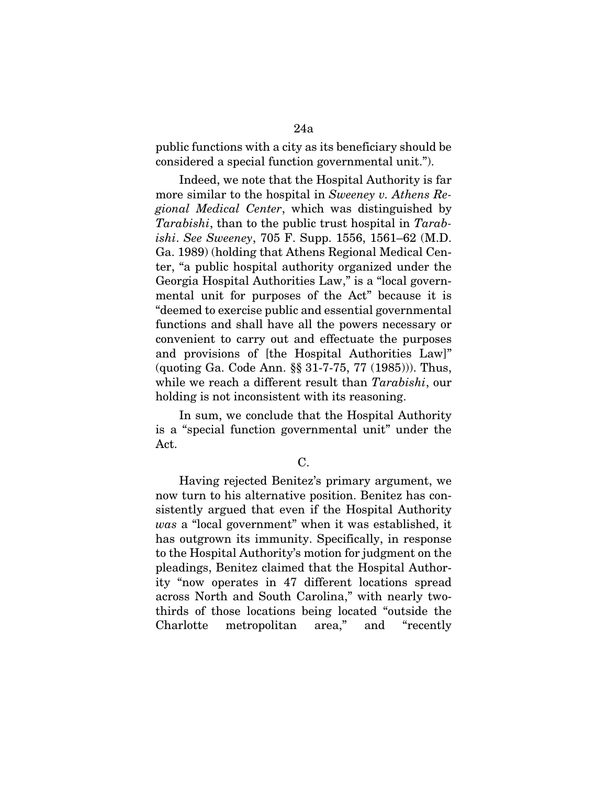public functions with a city as its beneficiary should be considered a special function governmental unit.").

Indeed, we note that the Hospital Authority is far more similar to the hospital in *Sweeney v. Athens Regional Medical Center*, which was distinguished by *Tarabishi*, than to the public trust hospital in *Tarabishi*. *See Sweeney*, 705 F. Supp. 1556, 1561–62 (M.D. Ga. 1989) (holding that Athens Regional Medical Center, "a public hospital authority organized under the Georgia Hospital Authorities Law," is a "local governmental unit for purposes of the Act" because it is "deemed to exercise public and essential governmental functions and shall have all the powers necessary or convenient to carry out and effectuate the purposes and provisions of [the Hospital Authorities Law]" (quoting Ga. Code Ann. §§ 31-7-75, 77 (1985))). Thus, while we reach a different result than *Tarabishi*, our holding is not inconsistent with its reasoning.

In sum, we conclude that the Hospital Authority is a "special function governmental unit" under the Act.

Having rejected Benitez's primary argument, we now turn to his alternative position. Benitez has consistently argued that even if the Hospital Authority *was* a "local government" when it was established, it has outgrown its immunity. Specifically, in response to the Hospital Authority's motion for judgment on the pleadings, Benitez claimed that the Hospital Authority "now operates in 47 different locations spread across North and South Carolina," with nearly twothirds of those locations being located "outside the Charlotte metropolitan area," and "recently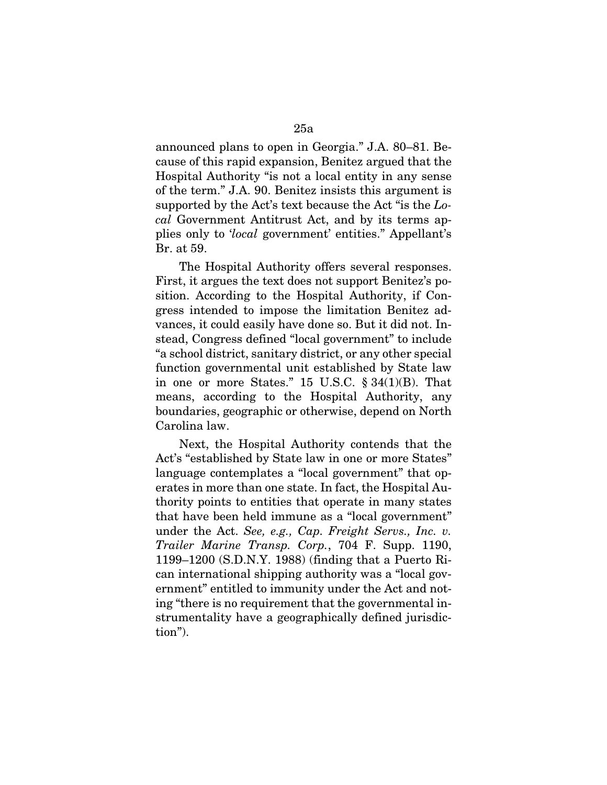announced plans to open in Georgia." J.A. 80–81. Because of this rapid expansion, Benitez argued that the Hospital Authority "is not a local entity in any sense of the term." J.A. 90. Benitez insists this argument is supported by the Act's text because the Act "is the *Local* Government Antitrust Act, and by its terms applies only to '*local* government' entities." Appellant's Br. at 59.

The Hospital Authority offers several responses. First, it argues the text does not support Benitez's position. According to the Hospital Authority, if Congress intended to impose the limitation Benitez advances, it could easily have done so. But it did not. Instead, Congress defined "local government" to include "a school district, sanitary district, or any other special function governmental unit established by State law in one or more States." 15 U.S.C.  $\S 34(1)(B)$ . That means, according to the Hospital Authority, any boundaries, geographic or otherwise, depend on North Carolina law.

Next, the Hospital Authority contends that the Act's "established by State law in one or more States" language contemplates a "local government" that operates in more than one state. In fact, the Hospital Authority points to entities that operate in many states that have been held immune as a "local government" under the Act. *See, e.g., Cap. Freight Servs., Inc. v. Trailer Marine Transp. Corp.*, 704 F. Supp. 1190, 1199–1200 (S.D.N.Y. 1988) (finding that a Puerto Rican international shipping authority was a "local government" entitled to immunity under the Act and noting "there is no requirement that the governmental instrumentality have a geographically defined jurisdiction").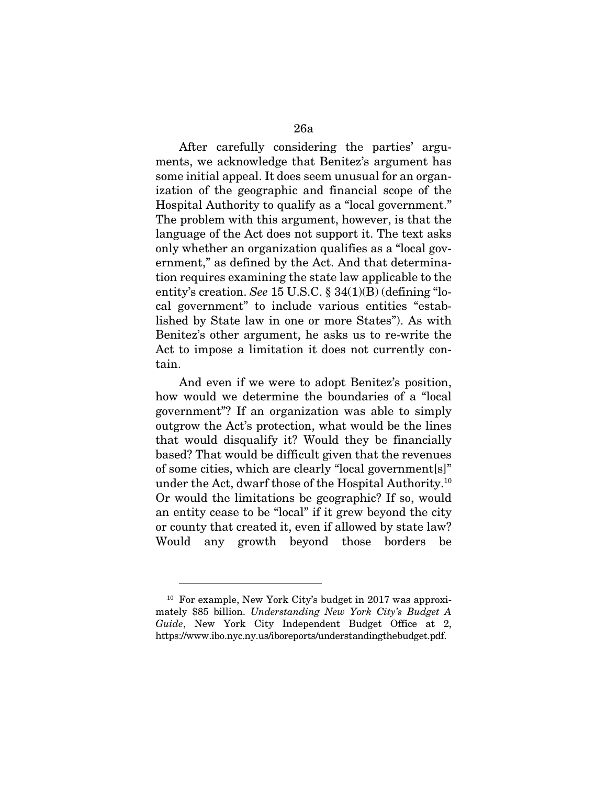After carefully considering the parties' arguments, we acknowledge that Benitez's argument has some initial appeal. It does seem unusual for an organization of the geographic and financial scope of the Hospital Authority to qualify as a "local government." The problem with this argument, however, is that the language of the Act does not support it. The text asks only whether an organization qualifies as a "local government," as defined by the Act. And that determination requires examining the state law applicable to the entity's creation. *See* 15 U.S.C. § 34(1)(B) (defining "local government" to include various entities "established by State law in one or more States"). As with Benitez's other argument, he asks us to re-write the Act to impose a limitation it does not currently contain.

And even if we were to adopt Benitez's position, how would we determine the boundaries of a "local government"? If an organization was able to simply outgrow the Act's protection, what would be the lines that would disqualify it? Would they be financially based? That would be difficult given that the revenues of some cities, which are clearly "local government[s]" under the Act, dwarf those of the Hospital Authority.10 Or would the limitations be geographic? If so, would an entity cease to be "local" if it grew beyond the city or county that created it, even if allowed by state law? Would any growth beyond those borders be

<sup>10</sup> For example, New York City's budget in 2017 was approximately \$85 billion. *Understanding New York City's Budget A Guide*, New York City Independent Budget Office at 2, https://www.ibo.nyc.ny.us/iboreports/understandingthebudget.pdf.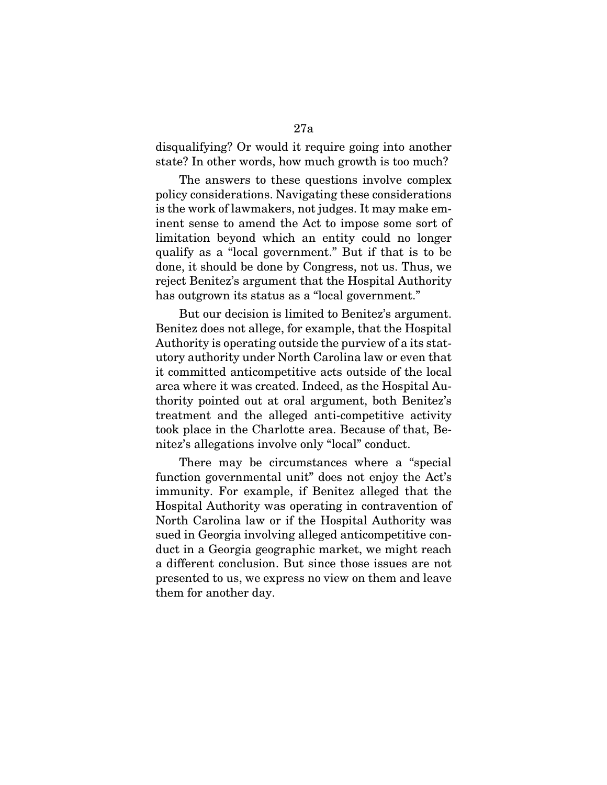disqualifying? Or would it require going into another state? In other words, how much growth is too much?

The answers to these questions involve complex policy considerations. Navigating these considerations is the work of lawmakers, not judges. It may make eminent sense to amend the Act to impose some sort of limitation beyond which an entity could no longer qualify as a "local government." But if that is to be done, it should be done by Congress, not us. Thus, we reject Benitez's argument that the Hospital Authority has outgrown its status as a "local government."

But our decision is limited to Benitez's argument. Benitez does not allege, for example, that the Hospital Authority is operating outside the purview of a its statutory authority under North Carolina law or even that it committed anticompetitive acts outside of the local area where it was created. Indeed, as the Hospital Authority pointed out at oral argument, both Benitez's treatment and the alleged anti-competitive activity took place in the Charlotte area. Because of that, Benitez's allegations involve only "local" conduct.

There may be circumstances where a "special function governmental unit" does not enjoy the Act's immunity. For example, if Benitez alleged that the Hospital Authority was operating in contravention of North Carolina law or if the Hospital Authority was sued in Georgia involving alleged anticompetitive conduct in a Georgia geographic market, we might reach a different conclusion. But since those issues are not presented to us, we express no view on them and leave them for another day.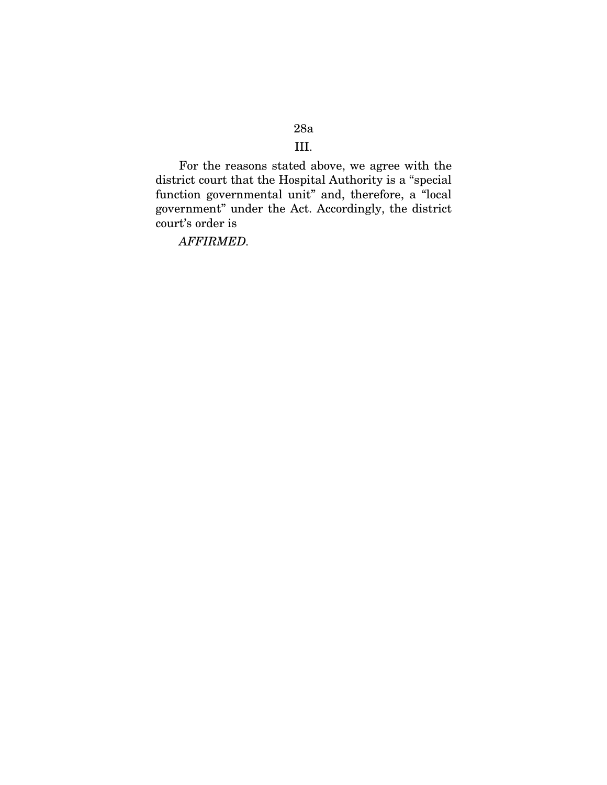### 28a

# III.

For the reasons stated above, we agree with the district court that the Hospital Authority is a "special function governmental unit" and, therefore, a "local government" under the Act. Accordingly, the district court's order is

*AFFIRMED.*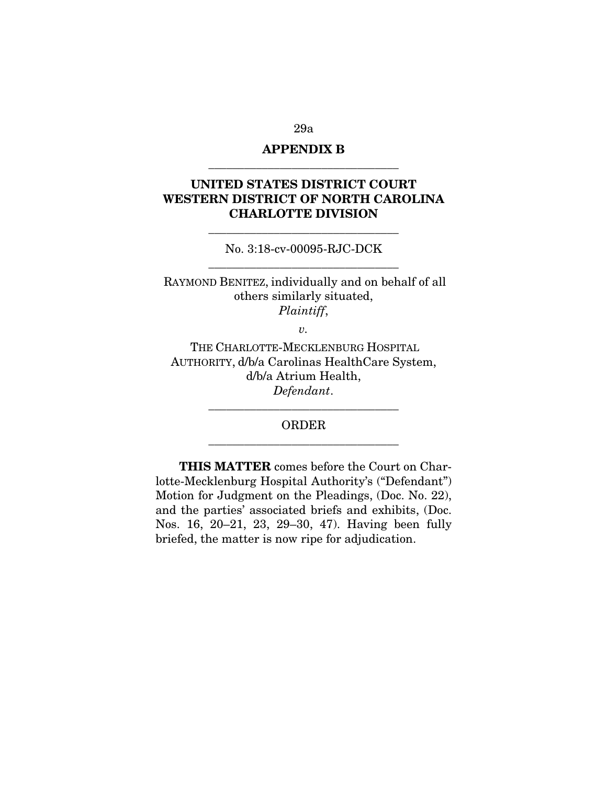#### 29a

# APPENDIX B \_\_\_\_\_\_\_\_\_\_\_\_\_\_\_\_\_\_\_\_\_\_\_\_\_\_\_\_\_\_\_\_

# UNITED STATES DISTRICT COURT WESTERN DISTRICT OF NORTH CAROLINA CHARLOTTE DIVISION

No. 3:18-cv-00095-RJC-DCK \_\_\_\_\_\_\_\_\_\_\_\_\_\_\_\_\_\_\_\_\_\_\_\_\_\_\_\_\_\_\_\_

\_\_\_\_\_\_\_\_\_\_\_\_\_\_\_\_\_\_\_\_\_\_\_\_\_\_\_\_\_\_\_\_

RAYMOND BENITEZ, individually and on behalf of all others similarly situated, *Plaintiff*,

 $v<sub>r</sub>$ 

THE CHARLOTTE-MECKLENBURG HOSPITAL AUTHORITY, d/b/a Carolinas HealthCare System, d/b/a Atrium Health, *Defendant*.

## ORDER \_\_\_\_\_\_\_\_\_\_\_\_\_\_\_\_\_\_\_\_\_\_\_\_\_\_\_\_\_\_\_\_

\_\_\_\_\_\_\_\_\_\_\_\_\_\_\_\_\_\_\_\_\_\_\_\_\_\_\_\_\_\_\_\_

THIS MATTER comes before the Court on Charlotte-Mecklenburg Hospital Authority's ("Defendant") Motion for Judgment on the Pleadings, (Doc. No. 22), and the parties' associated briefs and exhibits, (Doc. Nos. 16, 20–21, 23, 29–30, 47). Having been fully briefed, the matter is now ripe for adjudication.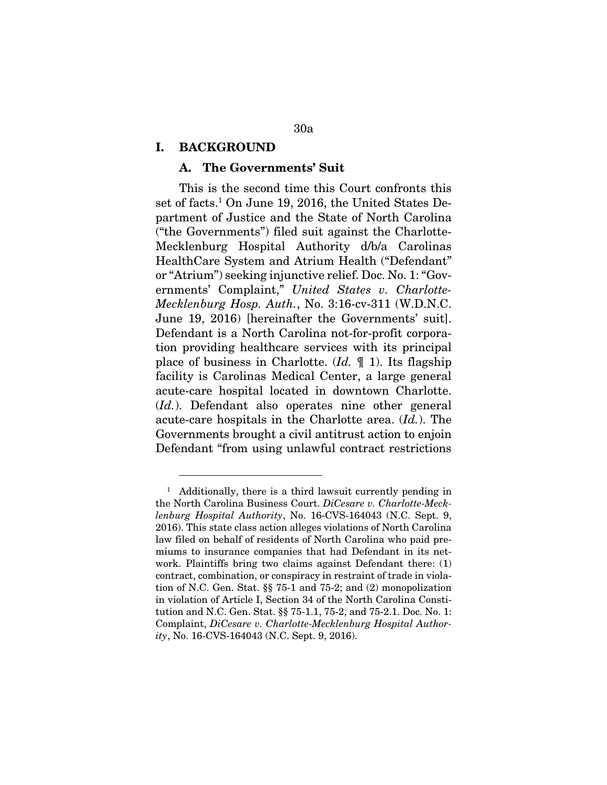### I. BACKGROUND

### A. The Governments' Suit

This is the second time this Court confronts this set of facts.<sup>1</sup> On June 19, 2016, the United States Department of Justice and the State of North Carolina ("the Governments") filed suit against the Charlotte-Mecklenburg Hospital Authority d/b/a Carolinas HealthCare System and Atrium Health ("Defendant" or "Atrium") seeking injunctive relief. Doc. No. 1: "Governments' Complaint," *United States v. Charlotte-Mecklenburg Hosp. Auth.*, No. 3:16-cv-311 (W.D.N.C. June 19, 2016) [hereinafter the Governments' suit]. Defendant is a North Carolina not-for-profit corporation providing healthcare services with its principal place of business in Charlotte. (*Id.* ¶ 1). Its flagship facility is Carolinas Medical Center, a large general acute-care hospital located in downtown Charlotte. (*Id.*). Defendant also operates nine other general acute-care hospitals in the Charlotte area. (*Id.*). The Governments brought a civil antitrust action to enjoin Defendant "from using unlawful contract restrictions

<sup>1</sup> Additionally, there is a third lawsuit currently pending in the North Carolina Business Court. *DiCesare v. Charlotte-Mecklenburg Hospital Authority*, No. 16-CVS-164043 (N.C. Sept. 9, 2016). This state class action alleges violations of North Carolina law filed on behalf of residents of North Carolina who paid premiums to insurance companies that had Defendant in its network. Plaintiffs bring two claims against Defendant there: (1) contract, combination, or conspiracy in restraint of trade in violation of N.C. Gen. Stat. §§ 75-1 and 75-2; and (2) monopolization in violation of Article I, Section 34 of the North Carolina Constitution and N.C. Gen. Stat. §§ 75-1.1, 75-2, and 75-2.1. Doc. No. 1: Complaint, *DiCesare v. Charlotte-Mecklenburg Hospital Authority*, No. 16-CVS-164043 (N.C. Sept. 9, 2016).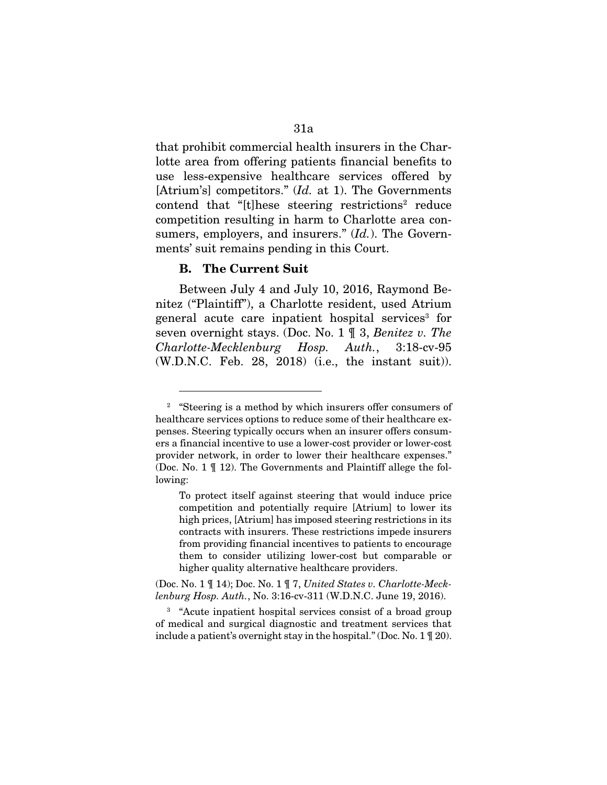that prohibit commercial health insurers in the Charlotte area from offering patients financial benefits to use less-expensive healthcare services offered by [Atrium's] competitors." (*Id.* at 1). The Governments contend that "[t]hese steering restrictions<sup>2</sup> reduce competition resulting in harm to Charlotte area consumers, employers, and insurers." (*Id.*). The Governments' suit remains pending in this Court.

#### B. The Current Suit

Between July 4 and July 10, 2016, Raymond Benitez ("Plaintiff"), a Charlotte resident, used Atrium general acute care inpatient hospital services<sup>3</sup> for seven overnight stays. (Doc. No. 1 ¶ 3, *Benitez v. The Charlotte-Mecklenburg Hosp. Auth.*, 3:18-cv-95 (W.D.N.C. Feb. 28, 2018) (i.e., the instant suit)).

(Doc. No. 1 ¶ 14); Doc. No. 1 ¶ 7, *United States v. Charlotte-Mecklenburg Hosp. Auth.*, No. 3:16-cv-311 (W.D.N.C. June 19, 2016).

<sup>3</sup> "Acute inpatient hospital services consist of a broad group of medical and surgical diagnostic and treatment services that include a patient's overnight stay in the hospital." (Doc. No. 1 ¶ 20).

<sup>2</sup> "Steering is a method by which insurers offer consumers of healthcare services options to reduce some of their healthcare expenses. Steering typically occurs when an insurer offers consumers a financial incentive to use a lower-cost provider or lower-cost provider network, in order to lower their healthcare expenses." (Doc. No. 1 ¶ 12). The Governments and Plaintiff allege the following:

To protect itself against steering that would induce price competition and potentially require [Atrium] to lower its high prices, [Atrium] has imposed steering restrictions in its contracts with insurers. These restrictions impede insurers from providing financial incentives to patients to encourage them to consider utilizing lower-cost but comparable or higher quality alternative healthcare providers.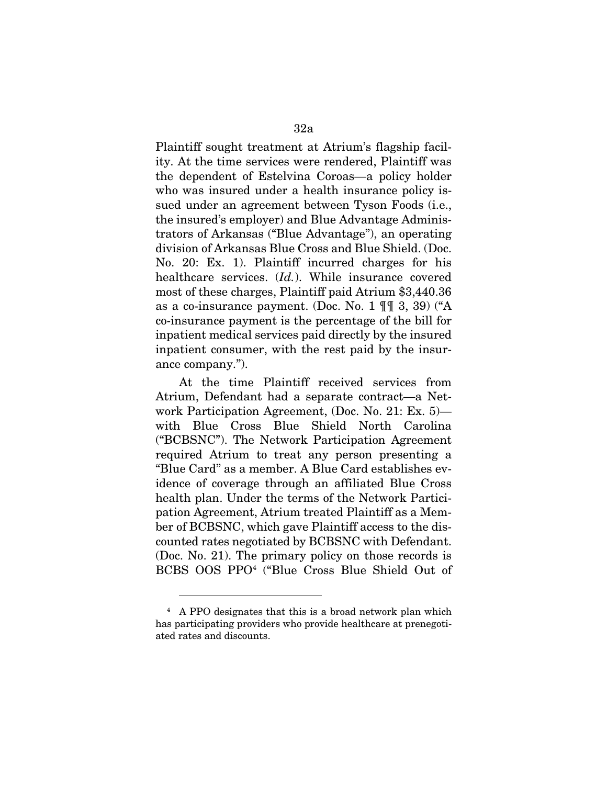Plaintiff sought treatment at Atrium's flagship facility. At the time services were rendered, Plaintiff was the dependent of Estelvina Coroas—a policy holder who was insured under a health insurance policy issued under an agreement between Tyson Foods (i.e., the insured's employer) and Blue Advantage Administrators of Arkansas ("Blue Advantage"), an operating division of Arkansas Blue Cross and Blue Shield. (Doc. No. 20: Ex. 1). Plaintiff incurred charges for his healthcare services. (*Id.*). While insurance covered most of these charges, Plaintiff paid Atrium \$3,440.36 as a co-insurance payment. (Doc. No. 1 ¶¶ 3, 39) ("A co-insurance payment is the percentage of the bill for inpatient medical services paid directly by the insured inpatient consumer, with the rest paid by the insurance company.").

At the time Plaintiff received services from Atrium, Defendant had a separate contract—a Network Participation Agreement, (Doc. No. 21: Ex. 5) with Blue Cross Blue Shield North Carolina ("BCBSNC"). The Network Participation Agreement required Atrium to treat any person presenting a "Blue Card" as a member. A Blue Card establishes evidence of coverage through an affiliated Blue Cross health plan. Under the terms of the Network Participation Agreement, Atrium treated Plaintiff as a Member of BCBSNC, which gave Plaintiff access to the discounted rates negotiated by BCBSNC with Defendant. (Doc. No. 21). The primary policy on those records is BCBS OOS PPO4 ("Blue Cross Blue Shield Out of

<sup>4</sup> A PPO designates that this is a broad network plan which has participating providers who provide healthcare at prenegotiated rates and discounts.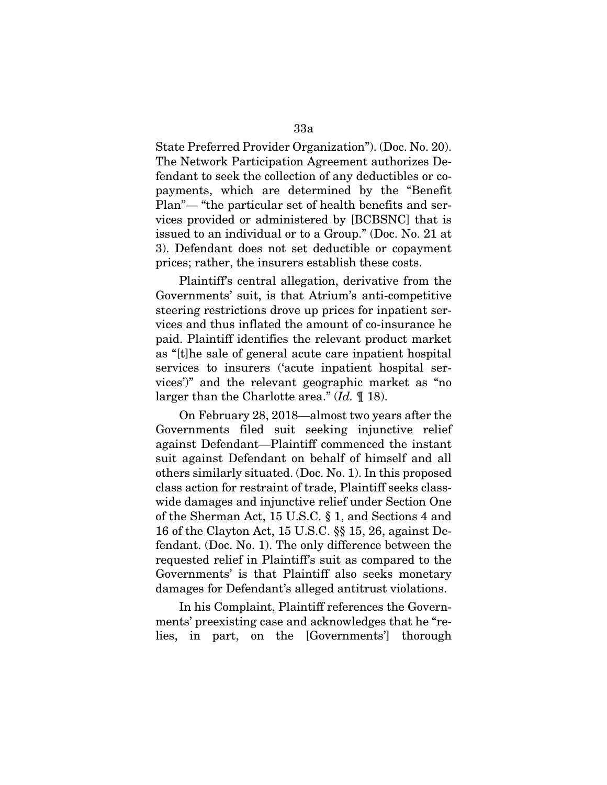State Preferred Provider Organization"). (Doc. No. 20). The Network Participation Agreement authorizes Defendant to seek the collection of any deductibles or copayments, which are determined by the "Benefit Plan"— "the particular set of health benefits and services provided or administered by [BCBSNC] that is issued to an individual or to a Group." (Doc. No. 21 at 3). Defendant does not set deductible or copayment prices; rather, the insurers establish these costs.

Plaintiff's central allegation, derivative from the Governments' suit, is that Atrium's anti-competitive steering restrictions drove up prices for inpatient services and thus inflated the amount of co-insurance he paid. Plaintiff identifies the relevant product market as "[t]he sale of general acute care inpatient hospital services to insurers ('acute inpatient hospital services')" and the relevant geographic market as "no larger than the Charlotte area." (*Id.* ¶ 18).

On February 28, 2018—almost two years after the Governments filed suit seeking injunctive relief against Defendant—Plaintiff commenced the instant suit against Defendant on behalf of himself and all others similarly situated. (Doc. No. 1). In this proposed class action for restraint of trade, Plaintiff seeks classwide damages and injunctive relief under Section One of the Sherman Act, 15 U.S.C. § 1, and Sections 4 and 16 of the Clayton Act, 15 U.S.C. §§ 15, 26, against Defendant. (Doc. No. 1). The only difference between the requested relief in Plaintiff's suit as compared to the Governments' is that Plaintiff also seeks monetary damages for Defendant's alleged antitrust violations.

In his Complaint, Plaintiff references the Governments' preexisting case and acknowledges that he "relies, in part, on the [Governments'] thorough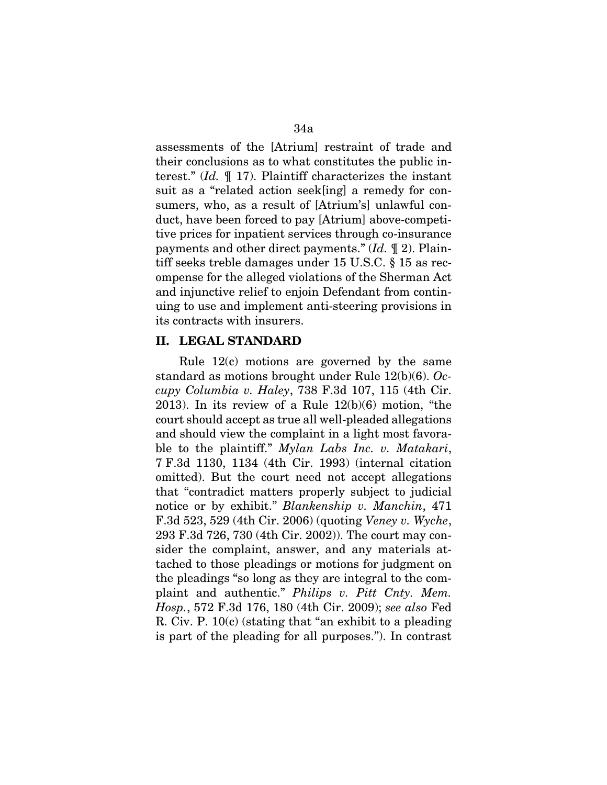assessments of the [Atrium] restraint of trade and their conclusions as to what constitutes the public interest." (*Id.* ¶ 17). Plaintiff characterizes the instant suit as a "related action seek[ing] a remedy for consumers, who, as a result of [Atrium's] unlawful conduct, have been forced to pay [Atrium] above-competitive prices for inpatient services through co-insurance payments and other direct payments." (*Id.* ¶ 2). Plaintiff seeks treble damages under 15 U.S.C. § 15 as recompense for the alleged violations of the Sherman Act and injunctive relief to enjoin Defendant from continuing to use and implement anti-steering provisions in its contracts with insurers.

### II. LEGAL STANDARD

Rule 12(c) motions are governed by the same standard as motions brought under Rule 12(b)(6). *Occupy Columbia v. Haley*, 738 F.3d 107, 115 (4th Cir. 2013). In its review of a Rule 12(b)(6) motion, "the court should accept as true all well-pleaded allegations and should view the complaint in a light most favorable to the plaintiff." *Mylan Labs Inc. v. Matakari*, 7 F.3d 1130, 1134 (4th Cir. 1993) (internal citation omitted). But the court need not accept allegations that "contradict matters properly subject to judicial notice or by exhibit." *Blankenship v. Manchin*, 471 F.3d 523, 529 (4th Cir. 2006) (quoting *Veney v. Wyche*, 293 F.3d 726, 730 (4th Cir. 2002)). The court may consider the complaint, answer, and any materials attached to those pleadings or motions for judgment on the pleadings "so long as they are integral to the complaint and authentic." *Philips v. Pitt Cnty. Mem. Hosp.*, 572 F.3d 176, 180 (4th Cir. 2009); *see also* Fed R. Civ. P. 10(c) (stating that "an exhibit to a pleading is part of the pleading for all purposes."). In contrast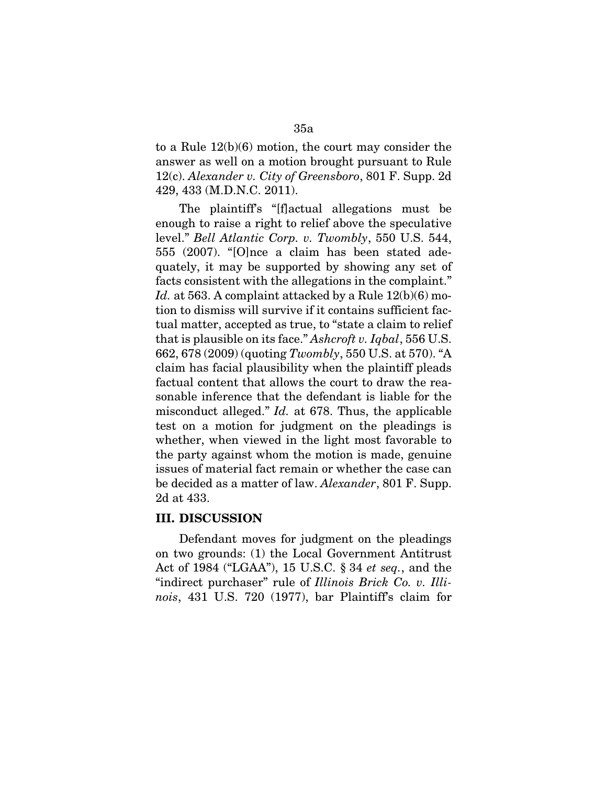to a Rule 12(b)(6) motion, the court may consider the answer as well on a motion brought pursuant to Rule 12(c). *Alexander v. City of Greensboro*, 801 F. Supp. 2d 429, 433 (M.D.N.C. 2011).

The plaintiff's "[f]actual allegations must be enough to raise a right to relief above the speculative level." *Bell Atlantic Corp. v. Twombly*, 550 U.S. 544, 555 (2007). "[O]nce a claim has been stated adequately, it may be supported by showing any set of facts consistent with the allegations in the complaint." *Id.* at 563. A complaint attacked by a Rule 12(b)(6) motion to dismiss will survive if it contains sufficient factual matter, accepted as true, to "state a claim to relief that is plausible on its face." *Ashcroft v. Iqbal*, 556 U.S. 662, 678 (2009) (quoting *Twombly*, 550 U.S. at 570). "A claim has facial plausibility when the plaintiff pleads factual content that allows the court to draw the reasonable inference that the defendant is liable for the misconduct alleged." *Id.* at 678. Thus, the applicable test on a motion for judgment on the pleadings is whether, when viewed in the light most favorable to the party against whom the motion is made, genuine issues of material fact remain or whether the case can be decided as a matter of law. *Alexander*, 801 F. Supp. 2d at 433.

### III. DISCUSSION

Defendant moves for judgment on the pleadings on two grounds: (1) the Local Government Antitrust Act of 1984 ("LGAA"), 15 U.S.C. § 34 *et seq.*, and the "indirect purchaser" rule of *Illinois Brick Co. v. Illinois*, 431 U.S. 720 (1977), bar Plaintiff's claim for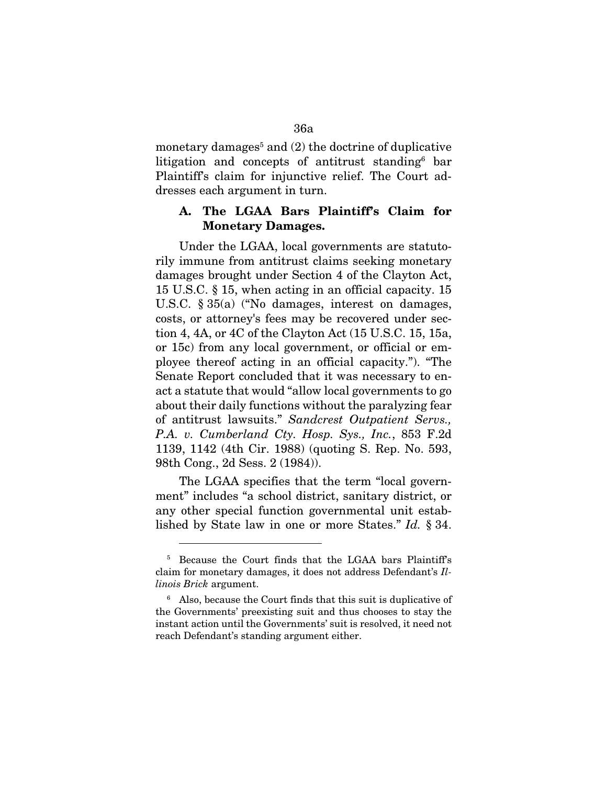monetary damages<sup>5</sup> and  $(2)$  the doctrine of duplicative litigation and concepts of antitrust standing<sup>6</sup> bar Plaintiff's claim for injunctive relief. The Court addresses each argument in turn.

### A. The LGAA Bars Plaintiff's Claim for Monetary Damages.

Under the LGAA, local governments are statutorily immune from antitrust claims seeking monetary damages brought under Section 4 of the Clayton Act, 15 U.S.C. § 15, when acting in an official capacity. 15 U.S.C. § 35(a) ("No damages, interest on damages, costs, or attorney's fees may be recovered under section 4, 4A, or 4C of the Clayton Act (15 U.S.C. 15, 15a, or 15c) from any local government, or official or employee thereof acting in an official capacity."). "The Senate Report concluded that it was necessary to enact a statute that would "allow local governments to go about their daily functions without the paralyzing fear of antitrust lawsuits." *Sandcrest Outpatient Servs., P.A. v. Cumberland Cty. Hosp. Sys., Inc.*, 853 F.2d 1139, 1142 (4th Cir. 1988) (quoting S. Rep. No. 593, 98th Cong., 2d Sess. 2 (1984)).

The LGAA specifies that the term "local government" includes "a school district, sanitary district, or any other special function governmental unit established by State law in one or more States." *Id.* § 34.

<sup>5</sup> Because the Court finds that the LGAA bars Plaintiff's claim for monetary damages, it does not address Defendant's *Illinois Brick* argument.

<sup>6</sup> Also, because the Court finds that this suit is duplicative of the Governments' preexisting suit and thus chooses to stay the instant action until the Governments' suit is resolved, it need not reach Defendant's standing argument either.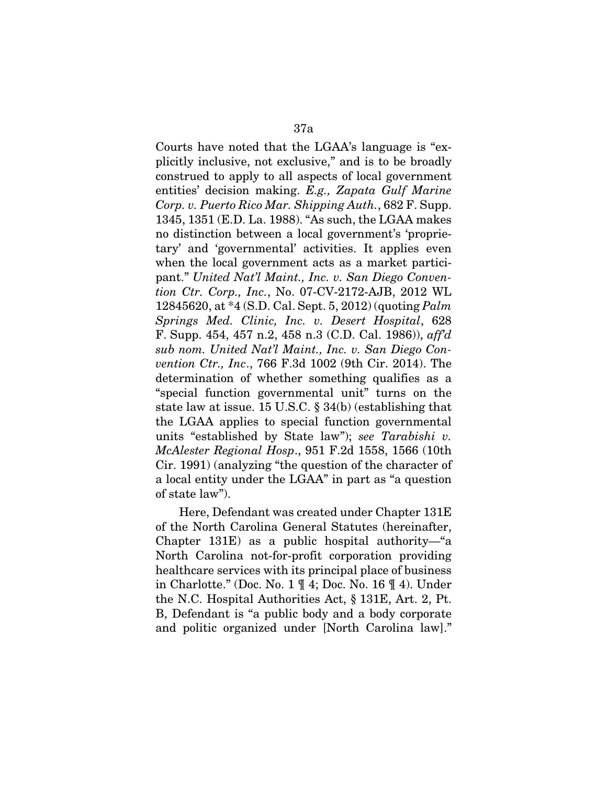Courts have noted that the LGAA's language is "explicitly inclusive, not exclusive," and is to be broadly construed to apply to all aspects of local government entities' decision making. *E.g., Zapata Gulf Marine Corp. v. Puerto Rico Mar. Shipping Auth.*, 682 F. Supp. 1345, 1351 (E.D. La. 1988). "As such, the LGAA makes no distinction between a local government's 'proprietary' and 'governmental' activities. It applies even when the local government acts as a market participant." *United Nat'l Maint., Inc. v. San Diego Convention Ctr. Corp., Inc.*, No. 07-CV-2172-AJB, 2012 WL 12845620, at \*4 (S.D. Cal. Sept. 5, 2012) (quoting *Palm Springs Med. Clinic, Inc. v. Desert Hospital*, 628 F. Supp. 454, 457 n.2, 458 n.3 (C.D. Cal. 1986)), *aff'd sub nom. United Nat'l Maint., Inc. v. San Diego Convention Ctr., Inc*., 766 F.3d 1002 (9th Cir. 2014). The determination of whether something qualifies as a "special function governmental unit" turns on the state law at issue. 15 U.S.C. § 34(b) (establishing that the LGAA applies to special function governmental units "established by State law"); *see Tarabishi v. McAlester Regional Hosp*., 951 F.2d 1558, 1566 (10th Cir. 1991) (analyzing "the question of the character of a local entity under the LGAA" in part as "a question of state law").

Here, Defendant was created under Chapter 131E of the North Carolina General Statutes (hereinafter, Chapter 131E) as a public hospital authority—"a North Carolina not-for-profit corporation providing healthcare services with its principal place of business in Charlotte." (Doc. No. 1 ¶ 4; Doc. No. 16 ¶ 4). Under the N.C. Hospital Authorities Act, § 131E, Art. 2, Pt. B, Defendant is "a public body and a body corporate and politic organized under [North Carolina law]."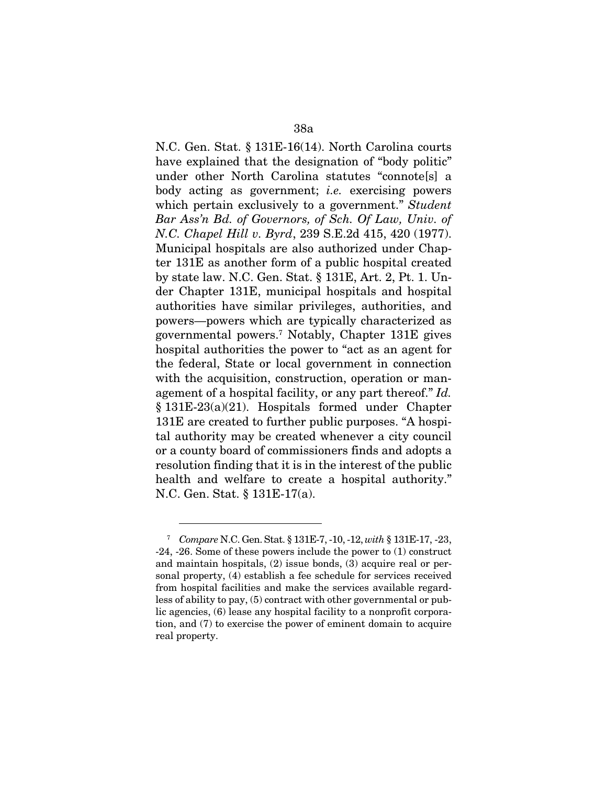N.C. Gen. Stat. § 131E-16(14). North Carolina courts have explained that the designation of "body politic" under other North Carolina statutes "connote[s] a body acting as government; *i.e.* exercising powers which pertain exclusively to a government." *Student Bar Ass'n Bd. of Governors, of Sch. Of Law, Univ. of N.C. Chapel Hill v. Byrd*, 239 S.E.2d 415, 420 (1977). Municipal hospitals are also authorized under Chapter 131E as another form of a public hospital created by state law. N.C. Gen. Stat. § 131E, Art. 2, Pt. 1. Under Chapter 131E, municipal hospitals and hospital authorities have similar privileges, authorities, and powers—powers which are typically characterized as governmental powers.7 Notably, Chapter 131E gives hospital authorities the power to "act as an agent for the federal, State or local government in connection with the acquisition, construction, operation or management of a hospital facility, or any part thereof." *Id.* § 131E-23(a)(21). Hospitals formed under Chapter 131E are created to further public purposes. "A hospital authority may be created whenever a city council or a county board of commissioners finds and adopts a resolution finding that it is in the interest of the public health and welfare to create a hospital authority." N.C. Gen. Stat. § 131E-17(a).

<sup>7</sup> *Compare* N.C. Gen. Stat. § 131E-7, -10, -12, *with* § 131E-17, -23, -24, -26. Some of these powers include the power to (1) construct and maintain hospitals, (2) issue bonds, (3) acquire real or personal property, (4) establish a fee schedule for services received from hospital facilities and make the services available regardless of ability to pay, (5) contract with other governmental or public agencies, (6) lease any hospital facility to a nonprofit corporation, and (7) to exercise the power of eminent domain to acquire real property.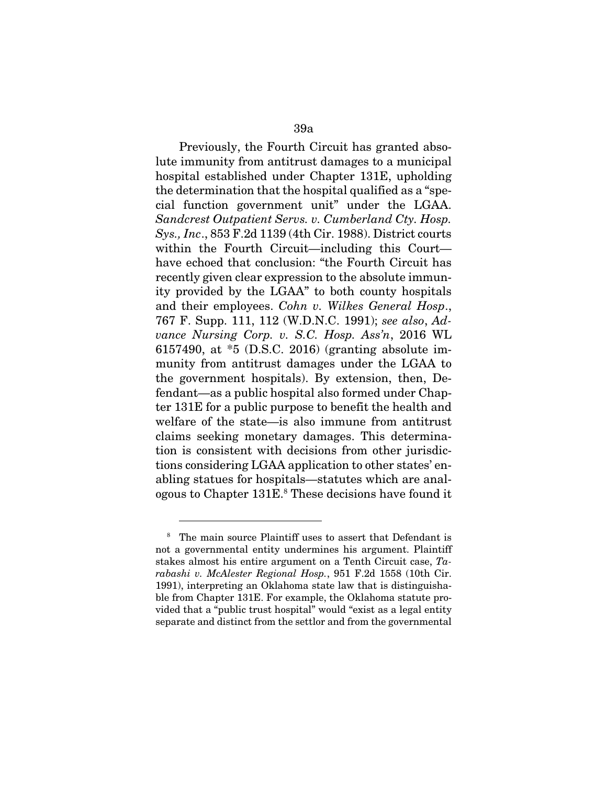Previously, the Fourth Circuit has granted absolute immunity from antitrust damages to a municipal hospital established under Chapter 131E, upholding the determination that the hospital qualified as a "special function government unit" under the LGAA. *Sandcrest Outpatient Servs. v. Cumberland Cty. Hosp. Sys., Inc*., 853 F.2d 1139 (4th Cir. 1988). District courts within the Fourth Circuit—including this Court have echoed that conclusion: "the Fourth Circuit has recently given clear expression to the absolute immunity provided by the LGAA" to both county hospitals and their employees. *Cohn v. Wilkes General Hosp*., 767 F. Supp. 111, 112 (W.D.N.C. 1991); *see also*, *Advance Nursing Corp. v. S.C. Hosp. Ass'n*, 2016 WL 6157490, at \*5 (D.S.C. 2016) (granting absolute immunity from antitrust damages under the LGAA to the government hospitals). By extension, then, Defendant—as a public hospital also formed under Chapter 131E for a public purpose to benefit the health and welfare of the state—is also immune from antitrust claims seeking monetary damages. This determination is consistent with decisions from other jurisdictions considering LGAA application to other states' enabling statues for hospitals—statutes which are analogous to Chapter 131E.<sup>8</sup> These decisions have found it

<sup>8</sup> The main source Plaintiff uses to assert that Defendant is not a governmental entity undermines his argument. Plaintiff stakes almost his entire argument on a Tenth Circuit case, *Tarabashi v. McAlester Regional Hosp.*, 951 F.2d 1558 (10th Cir. 1991), interpreting an Oklahoma state law that is distinguishable from Chapter 131E. For example, the Oklahoma statute provided that a "public trust hospital" would "exist as a legal entity separate and distinct from the settlor and from the governmental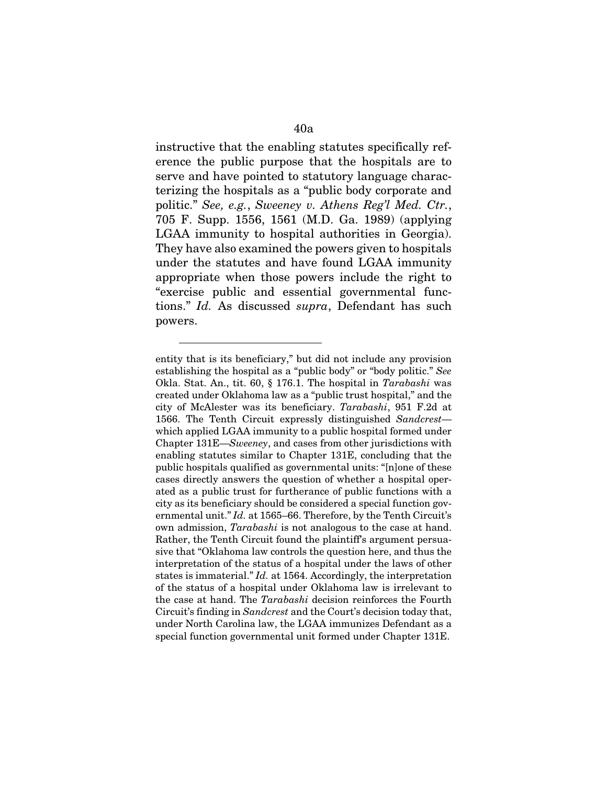instructive that the enabling statutes specifically reference the public purpose that the hospitals are to serve and have pointed to statutory language characterizing the hospitals as a "public body corporate and politic." *See, e.g.*, *Sweeney v. Athens Reg'l Med. Ctr.*, 705 F. Supp. 1556, 1561 (M.D. Ga. 1989) (applying LGAA immunity to hospital authorities in Georgia). They have also examined the powers given to hospitals under the statutes and have found LGAA immunity appropriate when those powers include the right to "exercise public and essential governmental functions." *Id.* As discussed *supra*, Defendant has such powers.

entity that is its beneficiary," but did not include any provision establishing the hospital as a "public body" or "body politic." *See* Okla. Stat. An., tit. 60, § 176.1. The hospital in *Tarabashi* was created under Oklahoma law as a "public trust hospital," and the city of McAlester was its beneficiary. *Tarabashi*, 951 F.2d at 1566. The Tenth Circuit expressly distinguished *Sandcrest* which applied LGAA immunity to a public hospital formed under Chapter 131E—*Sweeney*, and cases from other jurisdictions with enabling statutes similar to Chapter 131E, concluding that the public hospitals qualified as governmental units: "[n]one of these cases directly answers the question of whether a hospital operated as a public trust for furtherance of public functions with a city as its beneficiary should be considered a special function governmental unit." *Id.* at 1565–66. Therefore, by the Tenth Circuit's own admission, *Tarabashi* is not analogous to the case at hand. Rather, the Tenth Circuit found the plaintiff's argument persuasive that "Oklahoma law controls the question here, and thus the interpretation of the status of a hospital under the laws of other states is immaterial." *Id.* at 1564. Accordingly, the interpretation of the status of a hospital under Oklahoma law is irrelevant to the case at hand. The *Tarabashi* decision reinforces the Fourth Circuit's finding in *Sandcrest* and the Court's decision today that, under North Carolina law, the LGAA immunizes Defendant as a special function governmental unit formed under Chapter 131E.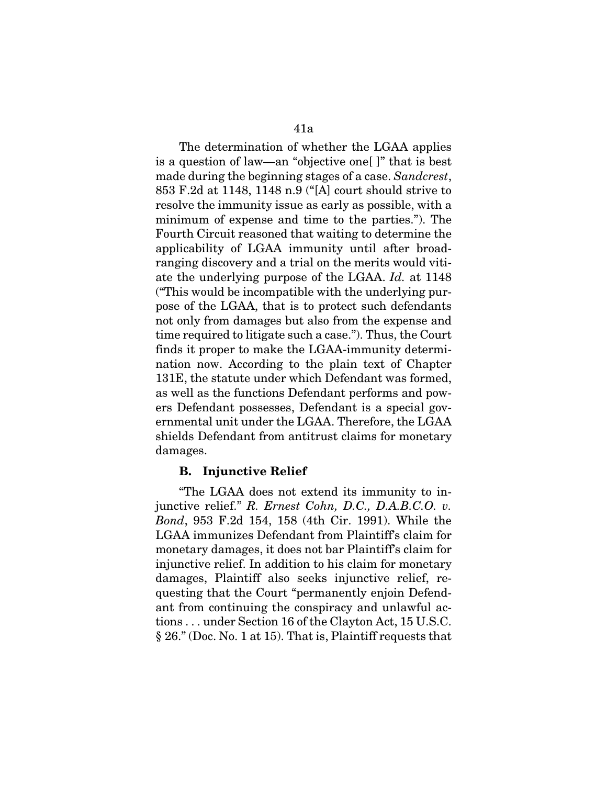The determination of whether the LGAA applies is a question of law—an "objective one[ ]" that is best made during the beginning stages of a case. *Sandcrest*, 853 F.2d at 1148, 1148 n.9 ("[A] court should strive to resolve the immunity issue as early as possible, with a minimum of expense and time to the parties."). The Fourth Circuit reasoned that waiting to determine the applicability of LGAA immunity until after broadranging discovery and a trial on the merits would vitiate the underlying purpose of the LGAA. *Id.* at 1148 ("This would be incompatible with the underlying purpose of the LGAA, that is to protect such defendants not only from damages but also from the expense and time required to litigate such a case."). Thus, the Court finds it proper to make the LGAA-immunity determination now. According to the plain text of Chapter 131E, the statute under which Defendant was formed, as well as the functions Defendant performs and powers Defendant possesses, Defendant is a special governmental unit under the LGAA. Therefore, the LGAA shields Defendant from antitrust claims for monetary damages.

### B. Injunctive Relief

"The LGAA does not extend its immunity to injunctive relief." *R. Ernest Cohn, D.C., D.A.B.C.O. v. Bond*, 953 F.2d 154, 158 (4th Cir. 1991). While the LGAA immunizes Defendant from Plaintiff's claim for monetary damages, it does not bar Plaintiff's claim for injunctive relief. In addition to his claim for monetary damages, Plaintiff also seeks injunctive relief, requesting that the Court "permanently enjoin Defendant from continuing the conspiracy and unlawful actions . . . under Section 16 of the Clayton Act, 15 U.S.C. § 26." (Doc. No. 1 at 15). That is, Plaintiff requests that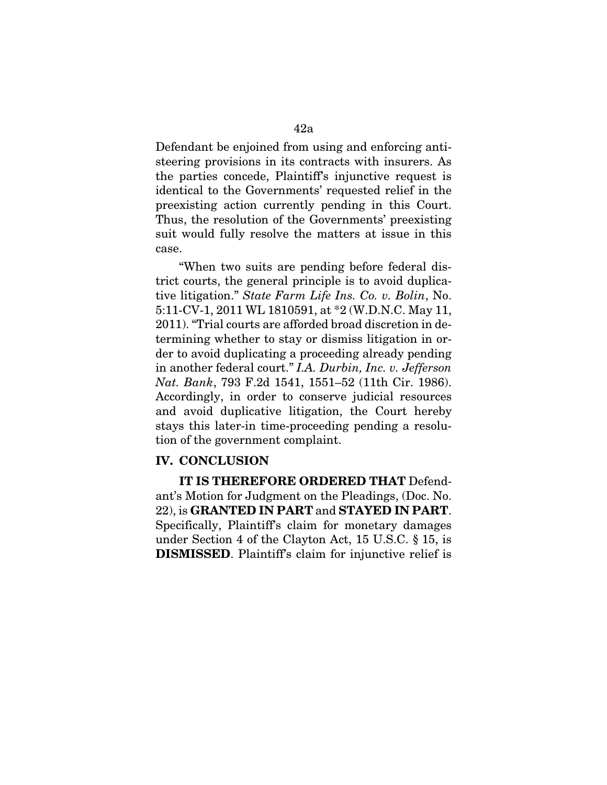Defendant be enjoined from using and enforcing antisteering provisions in its contracts with insurers. As the parties concede, Plaintiff's injunctive request is identical to the Governments' requested relief in the preexisting action currently pending in this Court. Thus, the resolution of the Governments' preexisting suit would fully resolve the matters at issue in this case.

"When two suits are pending before federal district courts, the general principle is to avoid duplicative litigation." *State Farm Life Ins. Co. v. Bolin*, No. 5:11-CV-1, 2011 WL 1810591, at \*2 (W.D.N.C. May 11, 2011). "Trial courts are afforded broad discretion in determining whether to stay or dismiss litigation in order to avoid duplicating a proceeding already pending in another federal court." *I.A. Durbin, Inc. v. Jefferson Nat. Bank*, 793 F.2d 1541, 1551–52 (11th Cir. 1986). Accordingly, in order to conserve judicial resources and avoid duplicative litigation, the Court hereby stays this later-in time-proceeding pending a resolution of the government complaint.

### IV. CONCLUSION

IT IS THEREFORE ORDERED THAT Defendant's Motion for Judgment on the Pleadings, (Doc. No. 22), is GRANTED IN PART and STAYED IN PART. Specifically, Plaintiff's claim for monetary damages under Section 4 of the Clayton Act, 15 U.S.C. § 15, is DISMISSED. Plaintiff's claim for injunctive relief is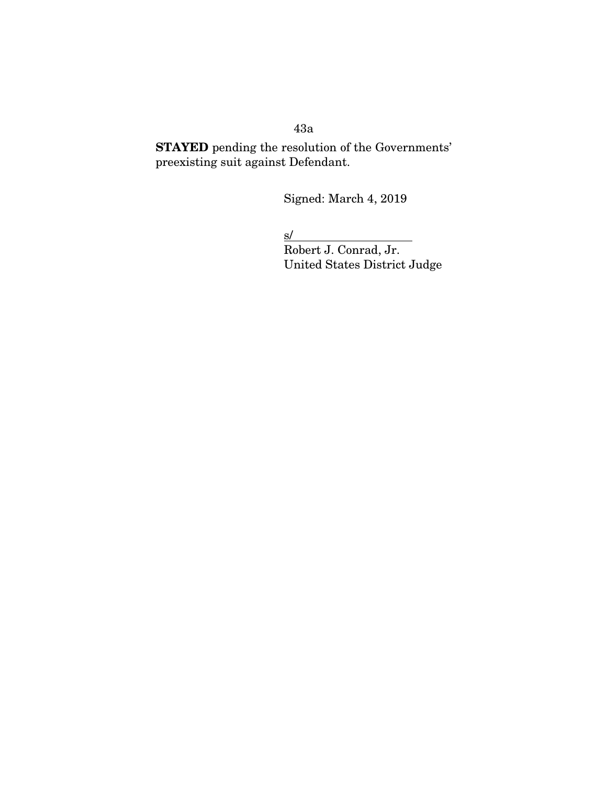43a

STAYED pending the resolution of the Governments' preexisting suit against Defendant.

Signed: March 4, 2019

 $s/$ 

Robert J. Conrad, Jr. United States District Judge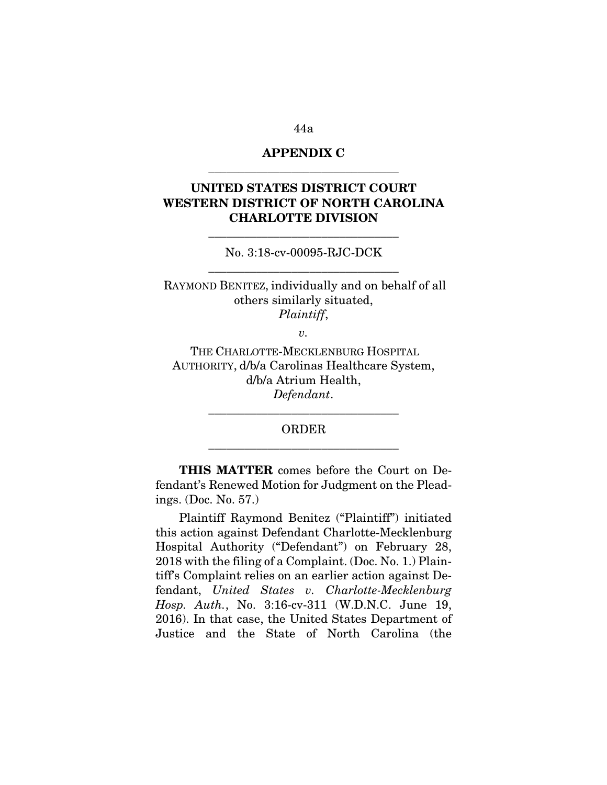# APPENDIX C \_\_\_\_\_\_\_\_\_\_\_\_\_\_\_\_\_\_\_\_\_\_\_\_\_\_\_\_\_\_\_\_

# UNITED STATES DISTRICT COURT WESTERN DISTRICT OF NORTH CAROLINA CHARLOTTE DIVISION

No. 3:18-cv-00095-RJC-DCK \_\_\_\_\_\_\_\_\_\_\_\_\_\_\_\_\_\_\_\_\_\_\_\_\_\_\_\_\_\_\_\_

\_\_\_\_\_\_\_\_\_\_\_\_\_\_\_\_\_\_\_\_\_\_\_\_\_\_\_\_\_\_\_\_

RAYMOND BENITEZ, individually and on behalf of all others similarly situated, *Plaintiff*,

 $v_{\rm c}$ 

THE CHARLOTTE-MECKLENBURG HOSPITAL AUTHORITY, d/b/a Carolinas Healthcare System, d/b/a Atrium Health, *Defendant*.

> ORDER \_\_\_\_\_\_\_\_\_\_\_\_\_\_\_\_\_\_\_\_\_\_\_\_\_\_\_\_\_\_\_\_

> \_\_\_\_\_\_\_\_\_\_\_\_\_\_\_\_\_\_\_\_\_\_\_\_\_\_\_\_\_\_\_\_

THIS MATTER comes before the Court on Defendant's Renewed Motion for Judgment on the Pleadings. (Doc. No. 57.)

Plaintiff Raymond Benitez ("Plaintiff") initiated this action against Defendant Charlotte-Mecklenburg Hospital Authority ("Defendant") on February 28, 2018 with the filing of a Complaint. (Doc. No. 1.) Plaintiff's Complaint relies on an earlier action against Defendant, *United States v. Charlotte-Mecklenburg Hosp. Auth.*, No. 3:16-cv-311 (W.D.N.C. June 19, 2016). In that case, the United States Department of Justice and the State of North Carolina (the

44a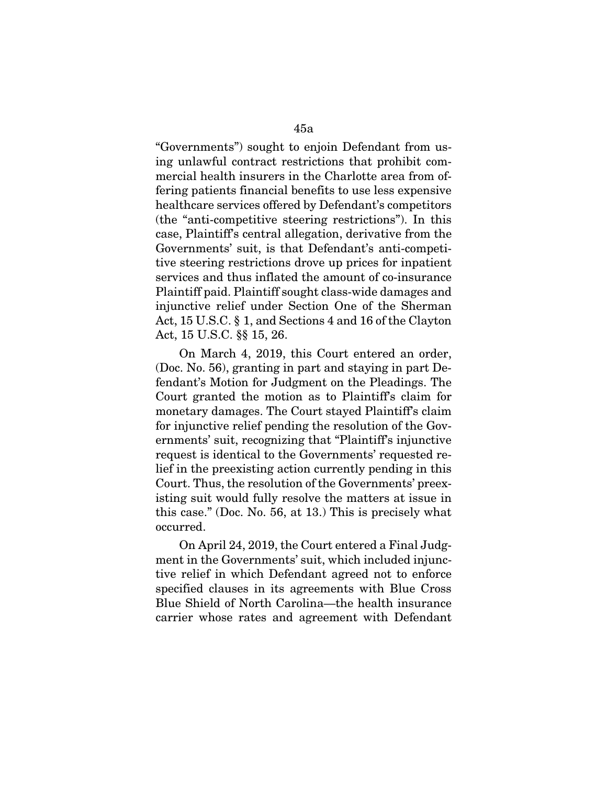"Governments") sought to enjoin Defendant from using unlawful contract restrictions that prohibit commercial health insurers in the Charlotte area from offering patients financial benefits to use less expensive healthcare services offered by Defendant's competitors (the "anti-competitive steering restrictions"). In this case, Plaintiff's central allegation, derivative from the Governments' suit, is that Defendant's anti-competitive steering restrictions drove up prices for inpatient services and thus inflated the amount of co-insurance Plaintiff paid. Plaintiff sought class-wide damages and injunctive relief under Section One of the Sherman Act, 15 U.S.C. § 1, and Sections 4 and 16 of the Clayton Act, 15 U.S.C. §§ 15, 26.

On March 4, 2019, this Court entered an order, (Doc. No. 56), granting in part and staying in part Defendant's Motion for Judgment on the Pleadings. The Court granted the motion as to Plaintiff's claim for monetary damages. The Court stayed Plaintiff's claim for injunctive relief pending the resolution of the Governments' suit, recognizing that "Plaintiff's injunctive request is identical to the Governments' requested relief in the preexisting action currently pending in this Court. Thus, the resolution of the Governments' preexisting suit would fully resolve the matters at issue in this case." (Doc. No. 56, at 13.) This is precisely what occurred.

On April 24, 2019, the Court entered a Final Judgment in the Governments' suit, which included injunctive relief in which Defendant agreed not to enforce specified clauses in its agreements with Blue Cross Blue Shield of North Carolina—the health insurance carrier whose rates and agreement with Defendant